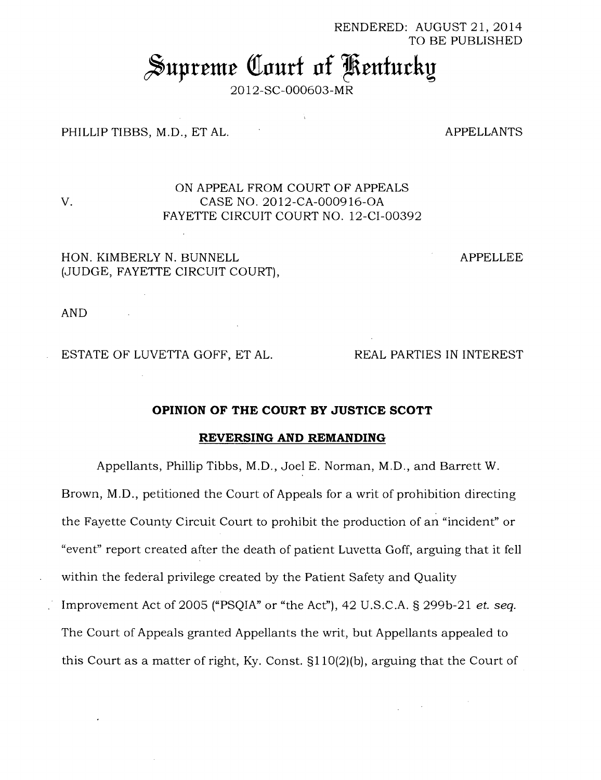## RENDERED: AUGUST 21, 2014 TO BE PUBLISHED

# Supreme Court of Kentucky

2012-SC-000603-MR

PHILLIP TIBBS, M.D., ET AL. APPELLANTS

## ON APPEAL FROM COURT OF APPEALS V. CASE NO. 2012-CA-000916-OA FAYETTE CIRCUIT COURT NO. 12-CI-00392

## HON. KIMBERLY N. BUNNELL APPELLEE (JUDGE, FAYETTE CIRCUIT COURT),

AND

ESTATE OF LUVETTA GOFF, ET AL. REAL PARTIES IN INTEREST

 $\mathcal{L}^{\text{max}}_{\text{max}}$  and  $\mathcal{L}^{\text{max}}_{\text{max}}$ 

## **OPINION OF THE COURT BY JUSTICE SCOTT**

## **REVERSING AND REMANDING**

Appellants, Phillip Tibbs, M.D., Joel E. Norman, M.D., and Barrett W. Brown, M.D., petitioned the Court of Appeals for a writ of prohibition directing the Fayette County Circuit Court to prohibit the production of an "incident" or "event" report created after the death of patient Luvetta Goff, arguing that it fell within the federal privilege created by the Patient Safety and Quality Improvement Act of 2005 ("PSQIA" or "the Act"), 42 U.S.C.A. § 299b-21 *et. seq.*  The Court of Appeals granted Appellants the writ, but Appellants appealed to this Court as a matter of right, Ky. Const. §110(2)(b), arguing that the Court of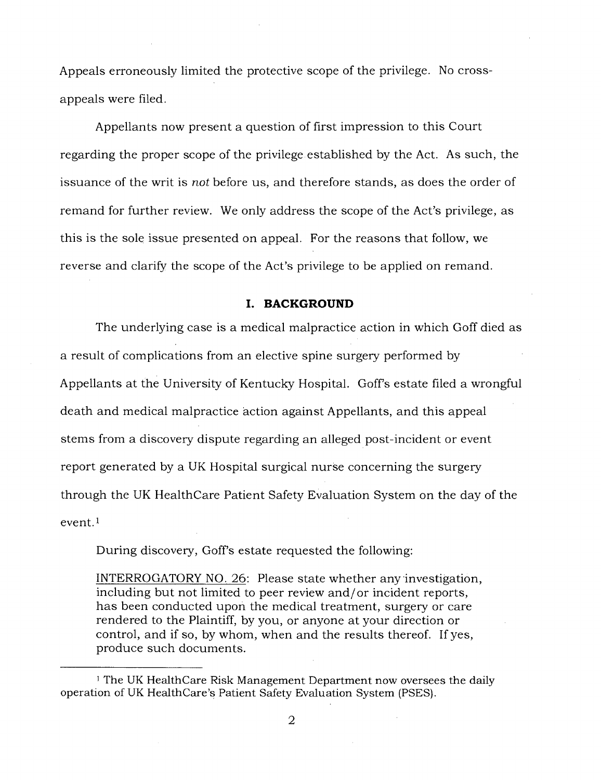Appeals erroneously limited the protective scope of the privilege. No crossappeals were filed.

Appellants now present a question of first impression to this Court regarding the proper scope of the privilege established by the Act. As such, the issuance of the writ is *not* before us, and therefore stands, as does the order of remand for further review. We only address the scope of the Act's privilege, as this is the sole issue presented on appeal. For the reasons that follow, we reverse and clarify the scope of the Act's privilege to be applied on remand.

## **I. BACKGROUND**

The underlying case is a medical malpractice action in which Goff died as a result of complications from an elective spine surgery performed by Appellants at the University of Kentucky Hospital. Goff's estate filed a wrongful death and medical malpractice action against Appellants, and this appeal stems from a discovery dispute regarding an alleged post-incident or event report generated by a UK Hospital surgical nurse concerning the surgery through the UK HealthCare Patient Safety Evaluation System on the day of the event.<sup>1</sup>

During discovery, Goff's estate requested the following:

INTERROGATORY NO. 26: Please state whether any investigation, including but not limited to peer review and/or incident reports, has been conducted upon the medical treatment, surgery or care rendered to the Plaintiff, by you, or anyone at your direction or control, and if so, by whom, when and the results thereof. If yes, produce such documents.

<sup>&</sup>lt;sup>1</sup> The UK HealthCare Risk Management Department now oversees the daily operation of UK HealthCare's Patient Safety Evaluation System (PSES).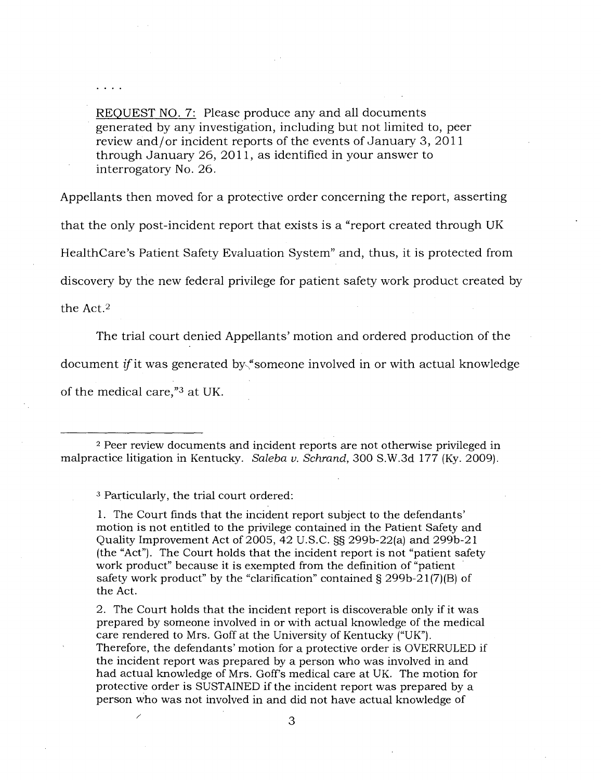REQUEST NO. 7: Please produce any and all documents generated by any investigation, including but not limited to, peer review and/or incident reports of the events of January 3, 2011 through January 26, 2011, as identified in your answer to interrogatory No. 26.

Appellants then moved for a protective order concerning the report, asserting that the only post-incident report that exists is a "report created through UK HealthCare's Patient Safety Evaluation System" and, thus, it is protected from discovery by the new federal privilege for patient safety work product created by the Act.<sup>2</sup>

The trial court denied Appellants' motion and ordered production of the document *if* it was generated by"someone involved in or with actual knowledge of the medical care,"<sup>3</sup> at UK.

<sup>2</sup>Peer review documents and incident reports are not otherwise privileged in malpractice litigation in Kentucky. *Saleba v. Schrand,* 300 S.W.3d 177 (Ky. 2009).

<sup>3</sup>Particularly, the trial court ordered:

1. The Court finds that the incident report subject to the defendants' motion is not entitled to the privilege contained in the Patient Safety and Quality Improvement Act of 2005, 42 U.S.C. §§ 299b-22(a) and 299b-21 (the "Act"). The Court holds that the incident report is not "patient safety work product" because it is exempted from the definition of "patient safety work product" by the "clarification" contained § 299b-21(7)(B) of the Act.

2. The Court holds that the incident report is discoverable only if it was prepared by someone involved in or with actual knowledge of the medical care rendered to Mrs. Goff at the University of Kentucky ("UK"). Therefore, the defendants' motion for a protective order is OVERRULED if the incident report was prepared by a person who was involved in and had actual knowledge of Mrs. Goff's medical care at UK. The motion for protective order is SUSTAINED if the incident report was prepared by a person who was not involved in and did not have actual knowledge of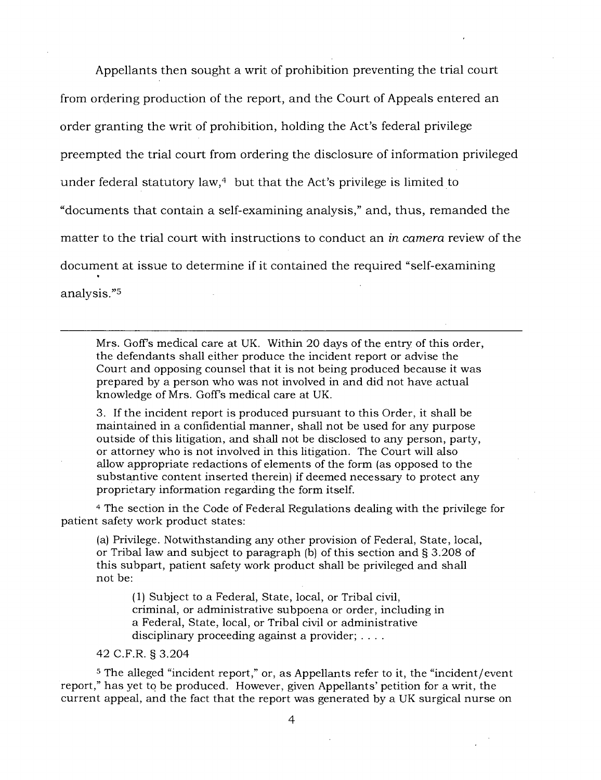Appellants then sought a writ of prohibition preventing the trial court from ordering production of the report, and the Court of Appeals entered an order granting the writ of prohibition, holding the Act's federal privilege preempted the trial court from ordering the disclosure of information privileged under federal statutory law, $4$  but that the Act's privilege is limited to "documents that contain a self-examining analysis," and, thus, remanded the matter to the trial court with instructions to conduct an *in camera* review of the document at issue to determine if it contained the required "self-examining analysis."<sup>5</sup>

Mrs. Goff's medical care at UK. Within 20 days of the entry of this order, the defendants shall either produce the incident report or advise the Court and opposing counsel that it is not being produced because it was prepared by a person who was not involved in and did not have actual knowledge of Mrs. Goff's medical care at UK.

3. If the incident report is produced pursuant to this Order, it shall be maintained in a confidential manner, shall not be used for any purpose outside of this litigation, and shall not be disclosed to any person, party, or attorney who is not involved in this litigation. The Court will also allow appropriate redactions of elements of the form (as opposed to the substantive content inserted therein) if deemed necessary to protect any proprietary information regarding the form itself.

<sup>4</sup>The section in the Code of Federal Regulations dealing with the privilege for patient safety work product states:

(a) Privilege. Notwithstanding any other provision of Federal, State, local, or Tribal law and subject to paragraph (b) of this section and § 3.208 of this subpart, patient safety work product shall be privileged and shall not be:

(1) Subject to a Federal, State, local, or Tribal civil, criminal, or administrative subpoena or order, including in a Federal, State, local, or Tribal civil or administrative disciplinary proceeding against a provider; . . . .

## 42 C.F.R. § 3.204

<sup>5</sup> The alleged "incident report," or, as Appellants refer to it, the "incident/event" report," has yet to be produced. However, given Appellants' petition for a writ, the current appeal, and the fact that the report was generated by a UK surgical nurse on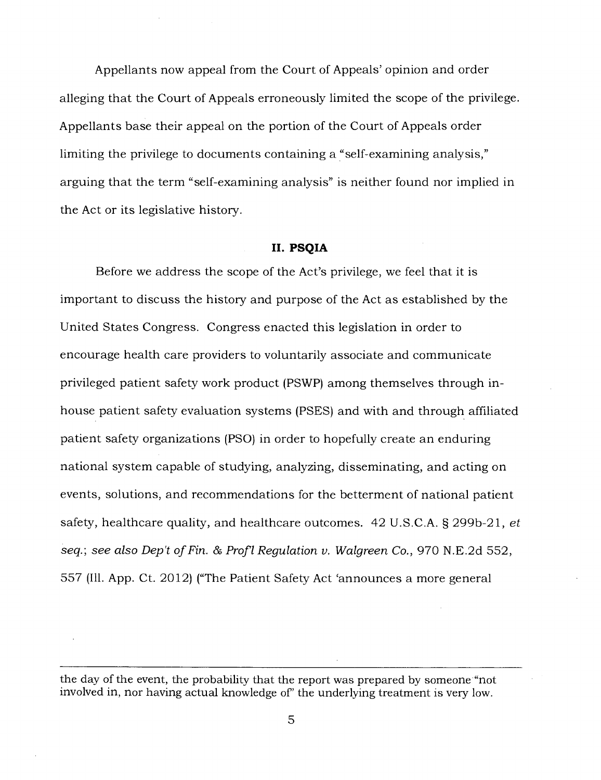Appellants now appeal from the Court of Appeals' opinion and order alleging that the Court of Appeals erroneously limited the scope of the privilege. Appellants base their appeal on the portion of the Court of Appeals order limiting the privilege to documents containing a "self-examining analysis," arguing that the term "self-examining analysis" is neither found nor implied in the Act or its legislative history.

#### **II. PSQIA**

Before we address the scope of the Act's privilege, we feel that it is important to discuss the history and purpose of the Act as established by the United States Congress. Congress enacted this legislation in order to encourage health care providers to voluntarily associate and communicate privileged patient safety work product (PSWP) among themselves through inhouse patient safety evaluation systems (PSES) and with and through affiliated patient safety organizations (PSO) in order to hopefully create an enduring national system capable of studying, analyzing, disseminating, and acting on events, solutions, and recommendations for the betterment of national patient safety, healthcare quality, and healthcare outcomes. 42 U.S.C.A. § 299b-21, *et*  seq.; see also Dep't of Fin. & Prof'l Regulation v. Walgreen Co., 970 N.E.2d 552, 557 (Iii. App. Ct. 2012) ("The Patient Safety Act 'announces a more general

the day of the event, the probability that the report was prepared by someone "not involved in, nor having actual knowledge of" the underlying treatment is very low.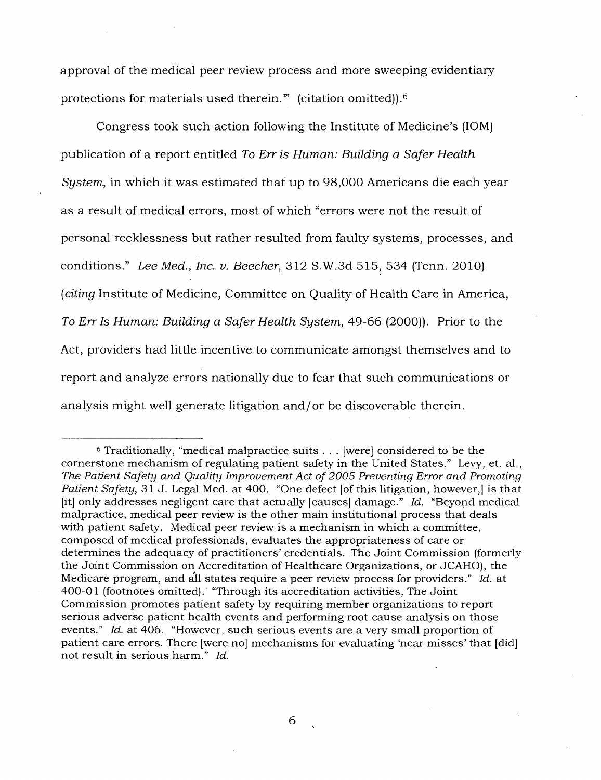approval of the medical peer review process and more sweeping evidentiary protections for materials used therein."" (citation omitted)).<sup>6</sup>

Congress took such action following the Institute of Medicine's (IOM) publication of a report entitled *To Err is Human: Building a Safer Health System,* in which it was estimated that up to 98,000 Americans die each year as a result of medical errors, most of which "errors were not the result of personal recklessness but rather resulted from faulty systems, processes, and conditions." *Lee Med., Inc. v. Beecher,* 312 S.W.3d 515, 534 (Tenn. 2010) *(citing* Institute of Medicine, Committee on Quality of Health Care in America, *To En-Is Human: Building a Safer Health System,* 49-66 (2000)). Prior to the Act, providers had little incentive to communicate amongst themselves and to report and analyze errors nationally due to fear that such communications or analysis might well generate litigation and/or be discoverable therein.

<sup>6</sup>Traditionally, "medical malpractice suits . . . [were] considered to be the cornerstone mechanism of regulating patient safety in the United States." Levy, et. al., *The Patient Safety and Quality Improvement Act of 2005 Preventing Error and Promoting Patient Safety,* 31 J. Legal Med. at 400. "One defect [of this litigation, however,] is that [it] only addresses negligent care that actually [causes] damage." *Id.* "Beyond medical malpractice, medical peer review is the other main institutional process that deals with patient safety. Medical peer review is a mechanism in which a committee, composed of medical professionals, evaluates the appropriateness of care or determines the adequacy of practitioners' credentials. The Joint Commission (formerly the Joint Commission on Accreditation of Healthcare Organizations, or JCAHO), the Medicare program, and all states require a peer review process for providers." *Id.* at 400-01 (footnotes omitted). "Through its accreditation activities, The Joint Commission promotes patient safety by requiring member organizations to report serious adverse patient health events and performing root cause analysis on those events." *Id.* at 406. "However, such serious events are a very small proportion of patient care errors. There [were no] mechanisms for evaluating 'near misses' that [did] not result in serious harm." *Id.*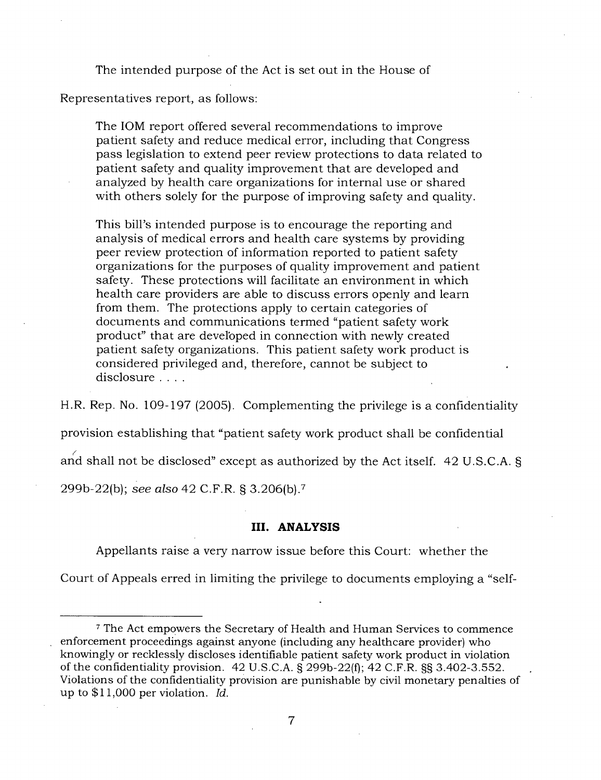The intended purpose of the Act is set out in the House of Representatives report, as follows:

The IOM report offered several recommendations to improve patient safety and reduce medical error, including that Congress pass legislation to extend peer review protections to data related to patient safety and quality improvement that are developed and analyzed by health care organizations for internal use or shared with others solely for the purpose of improving safety and quality.

This bill's intended purpose is to encourage the reporting and analysis of medical errors and health care systems by providing peer review protection of information reported to patient safety organizations for the purposes of quality improvement and patient safety. These protections will facilitate an environment in which health care providers are able to discuss errors openly and learn from them. The protections apply to certain categories of documents and communications termed "patient safety work product" that are developed in connection with newly created patient safety organizations. This patient safety work product is considered privileged and, therefore, cannot be subject to disclosure . . . .

H.R. Rep. No. 109-197 (2005). Complementing the privilege is a confidentiality provision establishing that "patient safety work product shall be confidential and shall not be disclosed" except as authorized by the Act itself.  $\,$  42 U.S.C.A. §  $\,$ 

299b-22(b); *see also* 42 C.F.R. § 3.206(b). <sup>7</sup>

#### **III. ANALYSIS**

Appellants raise a very narrow issue before this Court: whether the

Court of Appeals erred in limiting the privilege to documents employing a "self-

<sup>7</sup>The Act empowers the Secretary of Health and Human Services to commence enforcement proceedings against anyone (including any healthcare provider) who knowingly or recklessly discloses identifiable patient safety work product in violation of the confidentiality provision. 42 U.S.C.A. § 299b-22(f); 42 C.F.R. §§ 3.402-3.552. Violations of the confidentiality provision are punishable by civil monetary penalties of up to \$11,000 per violation. *Id.*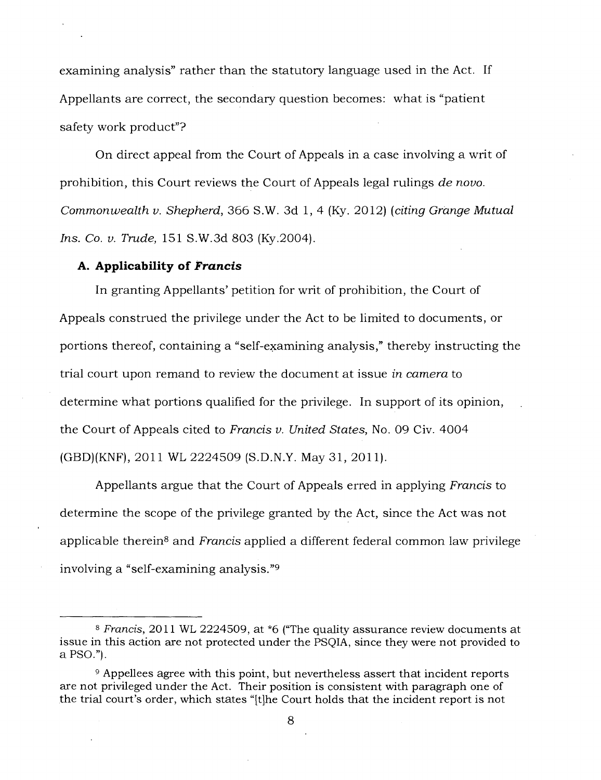examining analysis" rather than the statutory language used in the Act. If Appellants are correct, the secondary question becomes: what is "patient safety work product"?

On direct appeal from the Court of Appeals in a case involving a writ of prohibition, this Court reviews the Court of Appeals legal rulings *de novo. Commonwealth v. Shepherd,* 366 S.W. 3d 1, 4 (Ky. 2012) *(citing Grange Mutual Ins. Co. v. Trude,* 151 S.W.3d 803 (Ky.2004).

## **A. Applicability of** *Francis*

In granting Appellants' petition for writ of prohibition, the Court of Appeals construed the privilege under the Act to be limited to documents, or portions thereof, containing a "self-examining analysis," thereby instructing the trial court upon remand to review the document at issue *in camera* to determine what portions qualified for the privilege. In support of its opinion, the Court of Appeals cited to *Francis v. United States,* No. 09 Civ. 4004 (GBD)(KNF), 2011 WL 2224509 (S.D.N.Y. May 31, 2011).

Appellants argue that the Court of Appeals erred in applying *Francis* to determine the scope of the privilege granted by the Act, since the Act was not applicable therein8and *Francis* applied a different federal common law privilege involving a "self-examining analysis."<sup>9</sup>

<sup>8</sup>*Francis,* 2011 WL 2224509, at \*6 ("The quality assurance review documents at issue in this action are not protected under the PSQIA, since they were not provided to a PSO.").

<sup>9</sup>Appellees agree with this point, but nevertheless assert that incident reports are not privileged under the Act. Their position is consistent with paragraph one of the trial court's order, which states "[t]he Court holds that the incident report is not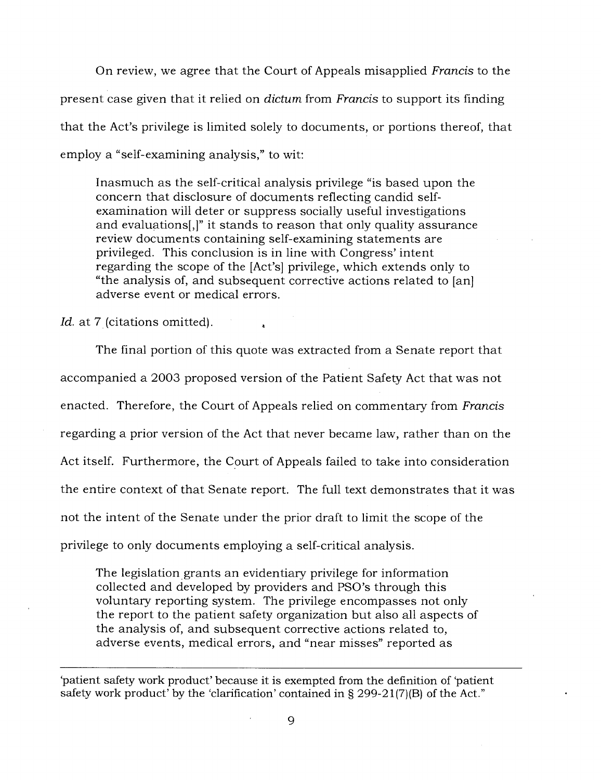On review, we agree that the Court of Appeals misapplied *Francis* to the present case given that it relied on *dictum* from *Francis* to support its finding that the Act's privilege is limited solely to documents, or portions thereof, that employ a "self-examining analysis," to wit:

Inasmuch as the self-critical analysis privilege "is based upon the concern that disclosure of documents reflecting candid selfexamination will deter or suppress socially useful investigations and evaluations[,]" it stands to reason that only quality assurance review documents containing self-examining statements are privileged. This conclusion is in line with Congress' intent regarding the scope of the [Act's] privilege, which extends only to "the analysis of, and subsequent corrective actions related to [an] adverse event or medical errors.

Id. at 7 (citations omitted).

The final portion of this quote was extracted from a Senate report that accompanied a 2003 proposed version of the Patient Safety Act that was not enacted. Therefore, the Court of Appeals relied on commentary from *Francis*  regarding a prior version of the Act that never became law, rather than on the Act itself. Furthermore, the Court of Appeals failed to take into consideration the entire context of that Senate report. The full text demonstrates that it was not the intent of the Senate under the prior draft to limit the scope of the privilege to only documents employing a self-critical analysis.

The legislation grants an evidentiary privilege for information collected and developed by providers and PSO's through this voluntary reporting system. The privilege encompasses not only the report to the patient safety organization but also all aspects of the analysis of, and subsequent corrective actions related to, adverse events, medical errors, and "near misses" reported as

<sup>`</sup>patient safety work product' because it is exempted from the definition of 'patient safety work product' by the 'clarification' contained in § 299-21(7)(B) of the Act."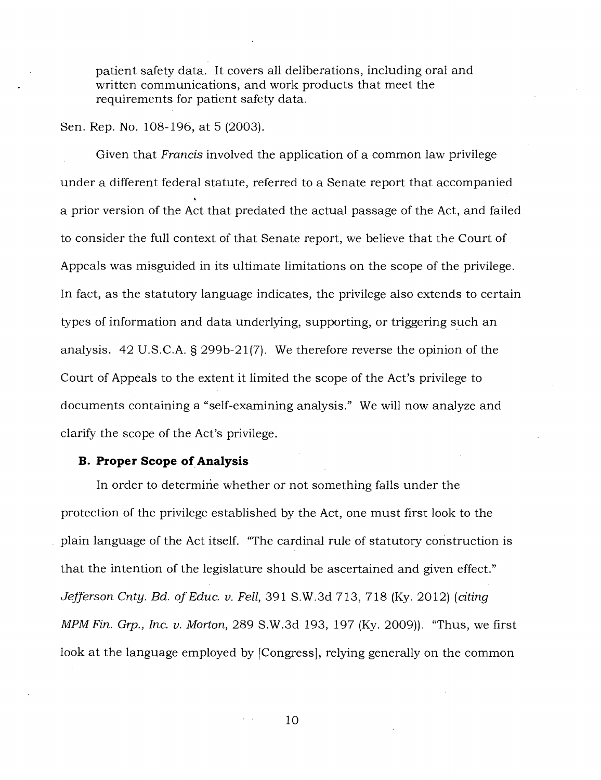patient safety data. It covers all deliberations, including oral and written communications, and work products that meet the requirements for patient safety data.

Sen. Rep. No. 108-196, at 5 (2003).

Given that *Francis* involved the application of a common law privilege under a different federal statute, referred to a Senate report that accompanied a prior version of the Act that predated the actual passage of the Act, and failed to consider the full context of that Senate report, we believe that the Court of Appeals was misguided in its ultimate limitations on the scope of the privilege. In fact, as the statutory language indicates, the privilege also extends to certain types of information and data underlying, supporting, or triggering such an analysis. 42 U.S.C.A. § 299b-21(7). We therefore reverse the opinion of the Court of Appeals to the extent it limited the scope of the Act's privilege to documents containing a "self-examining analysis." We will now analyze and clarify the scope of the Act's privilege.

#### **B. Proper Scope of Analysis**

In order to determine whether or not something falls under the protection of the privilege established by the Act, one must first look to the plain language of the Act itself. "The cardinal rule of statutory construction is that the intention of the legislature should be ascertained and given effect." *Jefferson Cnty. Bd. of Educ. v. Fell,* 391 S.W.3d 713, 718 (Ky. 2012) *(citing MPM Fin. Grp., Inc. v. Morton,* 289 S.W.3d 193, 197 (Ky. 2009)). "Thus, we first look at the language employed by [Congress], relying generally on the common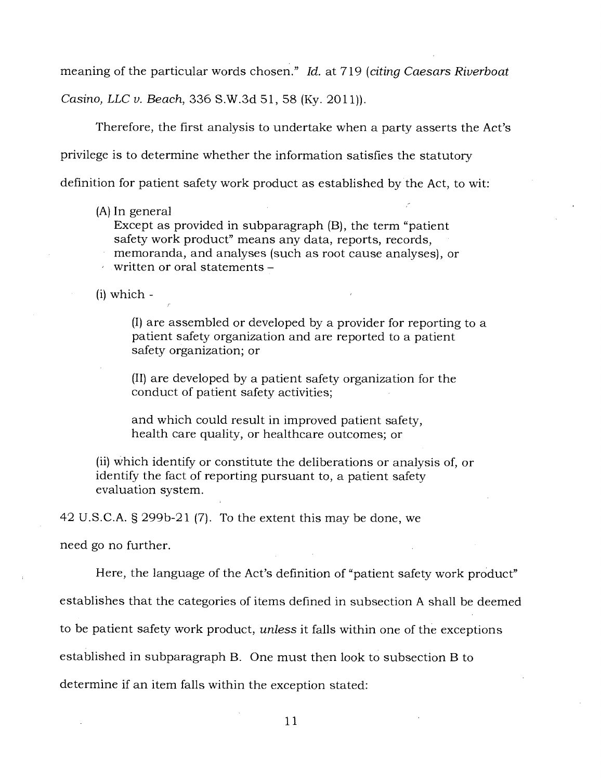meaning of the particular words chosen." *Id.* at 719 *(citing Caesars Riverboat* 

Casino, *LLC v. Beach,* 336 S.W.3d 51, 58 (Ky. 2011)).

Therefore, the first analysis to undertake when a party asserts the Act's privilege is to determine whether the information satisfies the statutory definition for patient safety work product as established by the Act, to wit:

#### (A) In general

Except as provided in subparagraph (B), the term "patient safety work product" means any data, reports, records, memoranda, and analyses (such as root cause analyses), or

written or oral statements -

(i) which -

(I) are assembled or developed by a provider for reporting to a patient safety organization and are reported to a patient safety organization; or

(II) are developed by a patient safety organization for the conduct of patient safety activities;

and which could result in improved patient safety, health care quality, or healthcare outcomes; or

(ii) which identify or constitute the deliberations or analysis of, or identify the fact of reporting pursuant to, a patient safety evaluation system.

42 U.S.C.A. § 299b-21 (7). To the extent this may be done, we

need go no further.

Here, the language of the Act's definition of "patient safety work product"

establishes that the categories of items defined in subsection A shall be deemed

to be patient safety work product, *unless* it falls within one of the exceptions

established in subparagraph B. One must then look to subsection B to

determine if an item falls within the exception stated: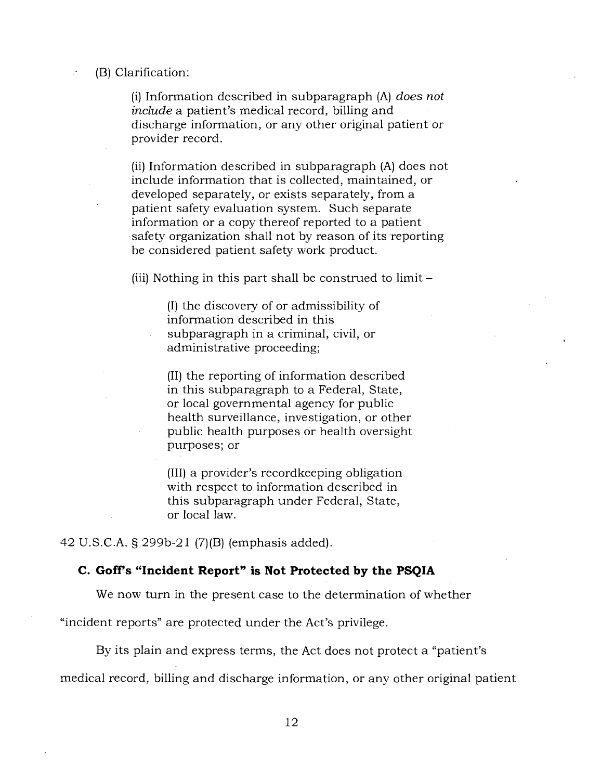#### (B) Clarification:

(i) Information described in subparagraph (A) *does not include* a patient's medical record, billing and discharge information, or any other original patient or provider record.

(ii) Information described in subparagraph (A) does not include information that is collected, maintained, or developed separately, or exists separately, from a patient safety evaluation system. Such separate information or a copy thereof reported to a patient safety organization shall not by reason of its reporting be considered patient safety work product.

(iii) Nothing in this part shall be construed to  $limit -$ 

(I) the discovery of or admissibility of information described in this subparagraph in a criminal, civil, or administrative proceeding;

(II) the reporting of information described in this subparagraph to a Federal, State, or local governmental agency for public health surveillance, investigation, or other public health purposes or health oversight purposes; or

(III) a provider's recordkeeping obligation with respect to information described in this subparagraph under Federal, State, or local law.

42 U.S.C.A. § 299b-21 (7)(B) (emphasis added).

## **C. Goff's "Incident Report" is Not Protected by the PSQIA**

We now turn in the present case to the determination of whether

"incident reports" are protected under the Act's privilege.

By its plain and express terms, the Act does not protect a "patient's

medical record, billing and discharge information, or any other original patient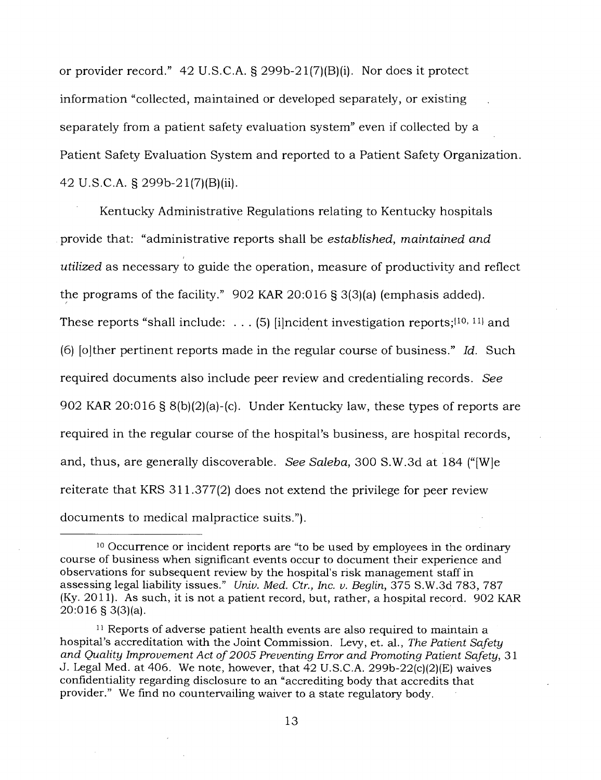or provider record." 42 U.S.C.A. § 299b-21(7)(B)(i). Nor does it protect information "collected, maintained or developed separately, or existing separately from a patient safety evaluation system" even if collected by a Patient Safety Evaluation System and reported to a Patient Safety Organization. 42 U.S.C.A. § 299b-21(7)(B)(ii).

Kentucky Administrative Regulations relating to Kentucky hospitals provide that: "administrative reports shall be *established, maintained and utilized* as necessary to guide the operation, measure of productivity and reflect the programs of the facility." 902 KAR 20:016 § 3(3)(a) (emphasis added). These reports "shall include: ...  $(5)$  [i]ncident investigation reports;<sup>[10, 11]</sup> and (6) [o]ther pertinent reports made in the regular course of business." *Id.* Such required documents also include peer review and credentialing records. *See*  902 KAR 20:016 § 8(b)(2)(a)-(c). Under Kentucky law, these types of reports are required in the regular course of the hospital's business, are hospital records, and, thus, are generally discoverable. *See Saleba,* 300 S.W.3d at 184 ("[W]e reiterate that KRS 311.377(2) does not extend the privilege for peer review documents to medical malpractice suits.").

<sup>&</sup>lt;sup>10</sup> Occurrence or incident reports are "to be used by employees in the ordinary course of business when significant events occur to document their experience and observations for subsequent review by the hospital's risk management staff in assessing legal liability issues." *Univ. Med. Ctr., Inc. v. Beglin,* 375 S.W.3d 783, 787 (Ky. 2011). As such, it is not a patient record, but, rather, a hospital record. 902 KAR 20:016 § 3(3)(a).

 $11$  Reports of adverse patient health events are also required to maintain a hospital's accreditation with the Joint Commission. Levy, et. al., *The Patient Safety and Quality Improvement Act of 2005 Preventing Error and Promoting Patient Safety,* 31 J. Legal Med. at 406. We note, however, that 42 U.S.C.A. 299b-22(c)(2)(E) waives confidentiality regarding disclosure to an "accrediting body that accredits that provider." We find no countervailing waiver to a state regulatory body.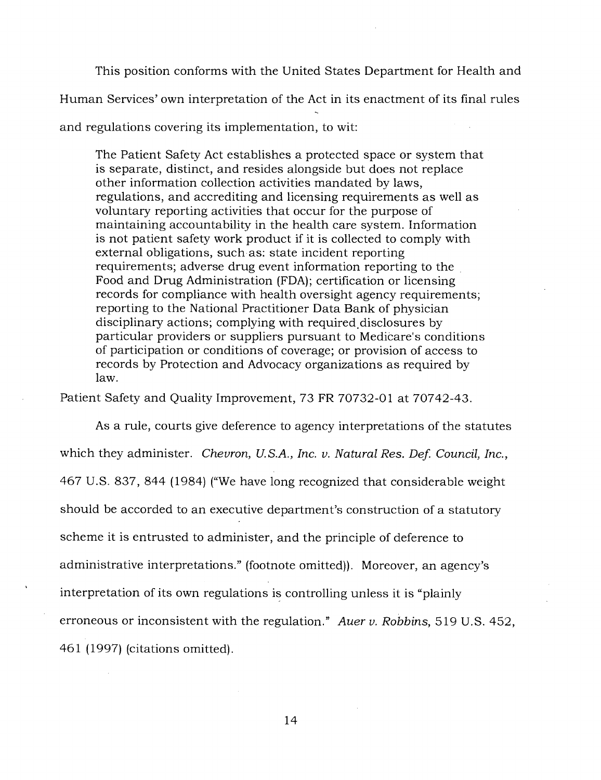This position conforms with the United States Department for Health and Human Services' own interpretation of the Act in its enactment of its final rules

and regulations covering its implementation, to wit:

The Patient Safety Act establishes a protected space or system that is separate, distinct, and resides alongside but does not replace other information collection activities mandated by laws, regulations, and accrediting and licensing requirements as well as voluntary reporting activities that occur for the purpose of maintaining accountability in the health care system. Information is not patient safety work product if it is collected to comply with external obligations, such as: state incident reporting requirements; adverse drug event information reporting to the Food and Drug Administration (FDA); certification or licensing records for compliance with health oversight agency requirements; reporting to the National Practitioner Data Bank of physician disciplinary actions; complying with required,disclosures by particular providers or suppliers pursuant to Medicare's conditions of participation or conditions of coverage; or provision of access to records by Protection and Advocacy organizations as required by law.

Patient Safety and Quality Improvement, 73 FR 70732-01 at 70742-43.

As a rule, courts give deference to agency interpretations of the statutes which they administer. *Chevron, U. S.A., Inc. v. Natural Res. Def. Council, Inc.,*  467 U.S. 837, 844 (1984) ("We have long recognized that considerable weight should be accorded to an executive department's construction of a statutory scheme it is entrusted to administer, and the principle of deference to administrative interpretations." (footnote omitted)). Moreover, an agency's interpretation of its own regulations is controlling unless it is "plainly erroneous or inconsistent with the regulation." *Auer v. Robbins,* 519 U.S. 452, 461 (1997) (citations omitted).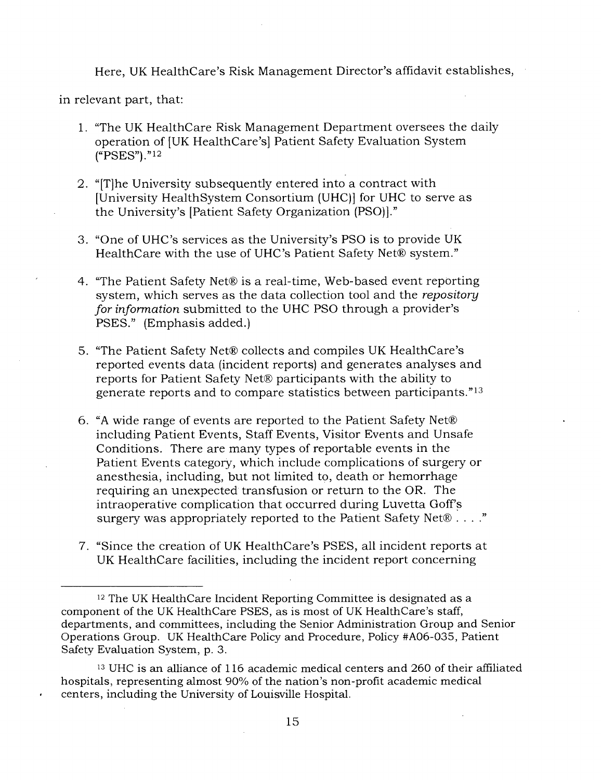Here, UK HealthCare's Risk Management Director's affidavit establishes,

in relevant part, that:

- 1. "The UK HealthCare Risk Management Department oversees the daily operation of [UK HealthCare's] Patient Safety Evaluation System ("PSES"). "12
- 2. "[T]he University subsequently entered into a contract with [University HealthSystem Consortium (UHC)] for UHC to serve as the University's [Patient Safety Organization (PSO)]."
- 3. "One of UHC's services as the University's PSO is to provide UK HealthCare with the use of UHC's Patient Safety Net® system."
- 4. "The Patient Safety Net® is a real-time, Web-based event reporting system, which serves as the data collection tool and the *repository for information* submitted to the UHC PSO through a provider's PSES." (Emphasis added.)
- 5. "The Patient Safety Net® collects and compiles UK HealthCare's reported events data (incident reports) and generates analyses and reports for Patient Safety Net® participants with the ability to generate reports and to compare statistics between participants." <sup>13</sup>
- 6. "A wide range of events are reported to the Patient Safety Net® including Patient Events, Staff Events, Visitor Events and Unsafe Conditions. There are many types of reportable events in the Patient Events category, which include complications of surgery or anesthesia, including, but not limited to, death or hemorrhage requiring an unexpected transfusion or return to the OR. The intraoperative complication that occurred during Luvetta Goff's surgery was appropriately reported to the Patient Safety Net® . . . ."
- 7. "Since the creation of UK HealthCare's PSES, all incident reports at UK HealthCare facilities, including the incident report concerning

<sup>&</sup>lt;sup>12</sup> The UK HealthCare Incident Reporting Committee is designated as a component of the UK HealthCare PSES, as is most of UK HealthCare's staff, departments, and committees, including the Senior Administration Group and Senior Operations Group. UK HealthCare Policy and Procedure, Policy #A06-035, Patient Safety Evaluation System, p. 3.

<sup>13</sup>UHC is an alliance of 116 academic medical centers and 260 of their affiliated hospitals, representing almost 90% of the nation's non-profit academic medical centers, including the University of Louisville Hospital.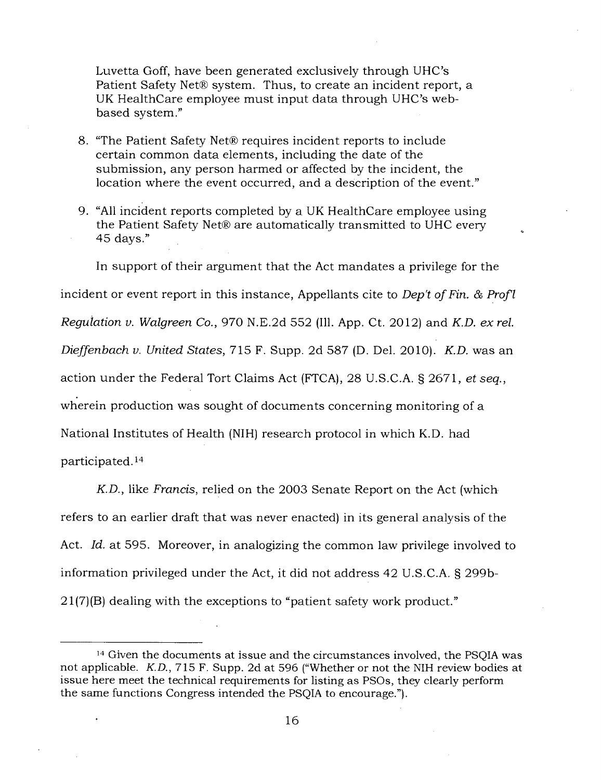Luvetta Goff, have been generated exclusively through UHC's Patient Safety Net® system. Thus, to create an incident report, a UK HealthCare employee must input data through UHC's webbased system."

- 8. "The Patient Safety Net® requires incident reports to include certain common data elements, including the date of the submission, any person harmed or affected by the incident, the location where the event occurred, and a description of the event."
- 9. "All incident reports completed by a UK HealthCare employee using the Patient Safety Net® are automatically transmitted to UHC every 45 days."

In support of their argument that the Act mandates a privilege for the

incident or event report in this instance, Appellants cite to *Dep't of Fin. & Prof'l* 

*Regulation v. Walgreen Co.,* 970 N.E.2d 552 (III. App. Ct. 2012) and *K.D. ex rel.* 

*Dieffenbach v. United States,* 715 F. Supp. 2d 587 (D. Del. 2010). *K.D.* was an

action under the Federal Tort Claims Act (FTCA), 28 U.S.C.A. § 2671, *et seq.,* 

wherein production was sought of documents concerning monitoring of a

National Institutes of Health (NIH) research protocol in which K.D. had

participated.<sup>14</sup>

*K.D.,* like *Francis,* relied on the 2003 Senate Report on the Act (which refers to an earlier draft that was never enacted) in its general analysis of the Act. *Id.* at 595. Moreover, in analogizing the common law privilege involved to information privileged under the Act, it did not address 42 U.S.C.A. § 299b-21(7)(B) dealing with the exceptions to "patient safety work product."

<sup>14</sup>Given the documents at issue and the circumstances involved, the PSQIA was not applicable. *K.D.,* 715 F. Supp. 2d at 596 ("Whether or not the NIH review bodies at issue here meet the technical requirements for listing as PSOs, they clearly perform the same functions Congress intended the PSQIA to encourage.").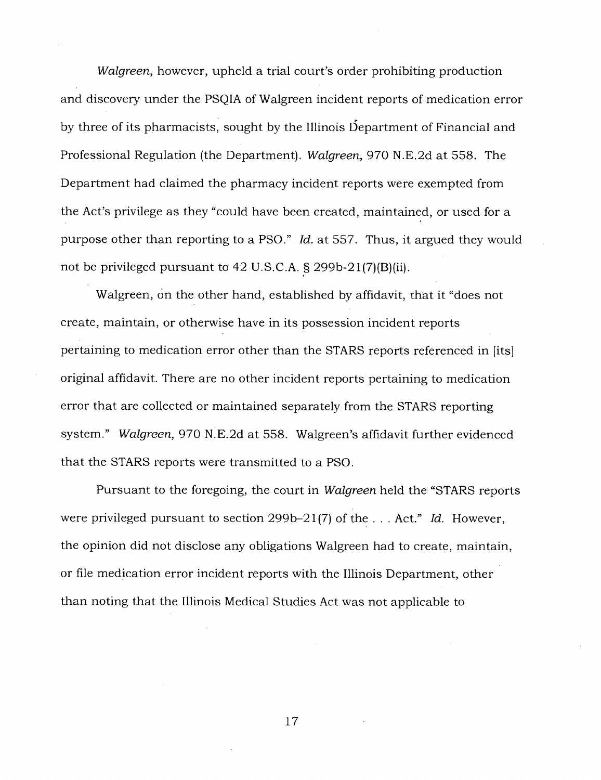*Walgreen,* however, upheld a trial court's order prohibiting production and discovery under the PSQIA of Walgreen incident reports of medication error by three of its pharmacists, sought by the Illinois Department of Financial and Professional Regulation (the Department). *Walgreen,* 970 N.E.2d at 558. The Department had claimed the pharmacy incident reports were exempted from the Act's privilege as they "could have been created, maintained, or used for a purpose other than reporting to a P50." *Id.* at 557. Thus, it argued they would not be privileged pursuant to 42 U.S.C.A. § 299b-21(7)(B)(ii).

Walgreen, on the other hand, established by affidavit, that it "does not create, maintain, or otherwise have in its possession incident reports pertaining to medication error other than the STARS reports referenced in [its] original affidavit. There are no other incident reports pertaining to medication error that are collected or maintained separately from the STARS reporting system." *Walgreen,* 970 N.E.2d at 558. Walgreen's affidavit further evidenced that the STARS reports were transmitted to a PSO.

Pursuant to the foregoing, the court in *Walgreen* held the "STARS reports were privileged pursuant to section 299b-21(7) of the . . . Act." *Id.* However, the opinion did not disclose any obligations Walgreen had to create, maintain, or file medication error incident reports with the Illinois Department, other than noting that the Illinois Medical Studies Act was not applicable to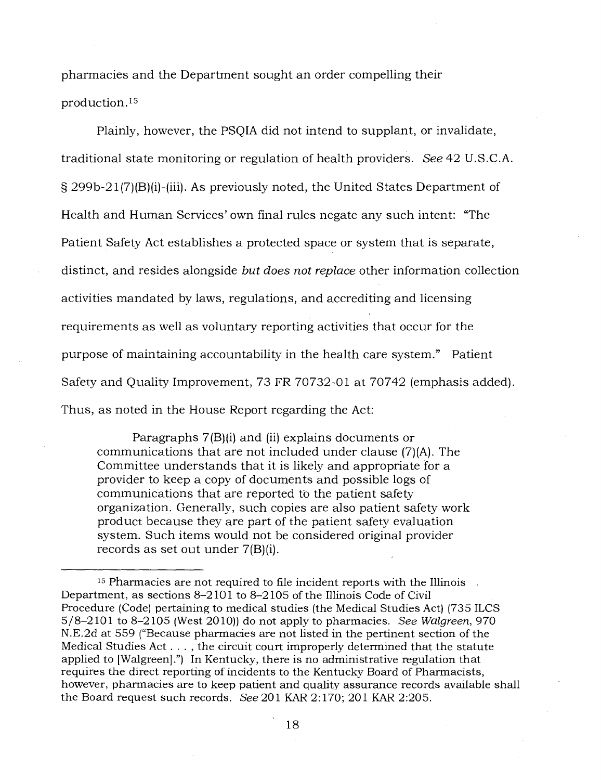pharmacies and the Department sought an order compelling their production. <sup>15</sup>

Plainly, however, the PSQIA did not intend to supplant, or invalidate, traditional state monitoring or regulation of health providers. *See* 42 U.S.C.A. § 299b-21(7)(B)(i)-(iii). As previously noted, the United States Department of Health and Human Services' own final rules negate any such intent: "The Patient Safety Act establishes a protected space or system that is separate, distinct, and resides alongside *but does not replace* other information collection activities mandated by laws, regulations, and accrediting and licensing requirements as well as voluntary reporting activities that occur for the purpose of maintaining accountability in the health care system." Patient Safety and Quality Improvement, 73 FR 70732-01 at 70742 (emphasis added). Thus, as noted in the House Report regarding the Act:

Paragraphs 7(B)(i) and (ii) explains documents or communications that are not included under clause (7)(A). The Committee understands that it is likely and appropriate for a provider to keep a copy of documents and possible logs of communications that are reported to the patient safety organization. Generally, such copies are also patient safety work product because they are part of the patient safety evaluation system. Such items would not be considered original provider records as set out under 7(B)(i).

<sup>&</sup>lt;sup>15</sup> Pharmacies are not required to file incident reports with the Illinois Department, as sections 8-2101 to 8-2105 of the Illinois Code of Civil Procedure (Code) pertaining to medical studies (the Medical Studies Act) (735 ILCS 5/8-2101 to 8-2105 (West 2010)) do not apply to pharmacies. *See Walgreen,* 970 N.E.2d at 559 ("Because pharmacies are not listed in the pertinent section of the Medical Studies Act . . . , the circuit court improperly determined that the statute applied to [Walgreen].") In Kentucky, there is no administrative regulation that requires the direct reporting of incidents to the Kentucky Board of Pharmacists, however, pharmacies are to keep patient and quality assurance records available shall the Board request such records. *See* 201 KAR 2:170; 201 KAR 2:205.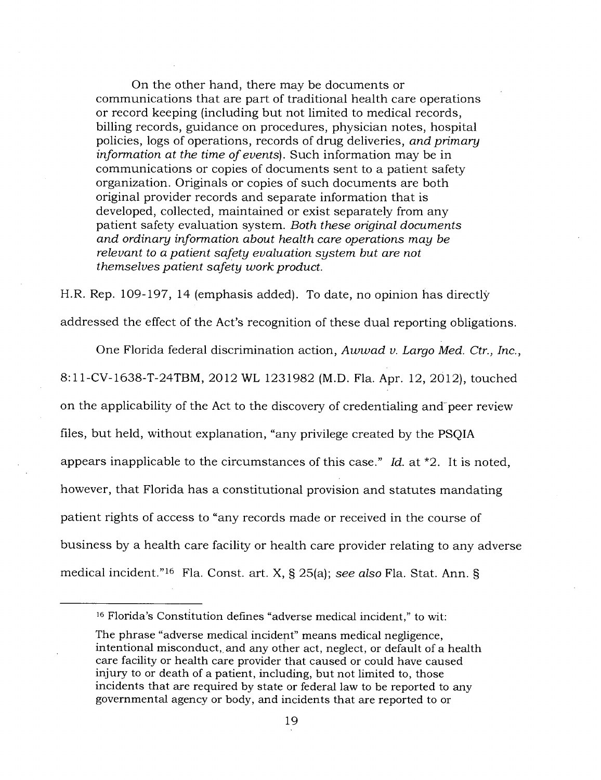On the other hand, there may be documents or communications that are part of traditional health care operations or record keeping (including but not limited to medical records, billing records, guidance on procedures, physician notes, hospital policies, logs of operations, records of drug deliveries, *and primary information at the time of events).* Such information may be in communications or copies of documents sent to a patient safety organization. Originals or copies of such documents are both original provider records and separate information that is developed, collected, maintained or exist separately from any patient safety evaluation system. *Both these original documents and ordinary information about health care operations may be relevant to a patient safety evaluation system but are not themselves patient safety work product.* 

H.R. Rep. 109-197, 14 (emphasis added). To date, no opinion has directly addressed the effect of the Act's recognition of these dual reporting obligations.

One Florida federal discrimination action, *Awwad v. Largo Med. Ctr., Inc.,*  8:11-CV-1638-T-24TBM, 2012 WL 1231982 (M.D. Fla. Apr. 12, 2012), touched on the applicability of the Act to the discovery of credentialing and peer review files, but held, without explanation, "any privilege created by the PSQIA appears inapplicable to the circumstances of this case." *Id.* at \*2. It is noted, however, that Florida has a constitutional provision and statutes mandating patient rights of access to "any records made or received in the course of business by a health care facility or health care provider relating to any adverse medical incident."<sup>16</sup> Fla. Const. art. X, § 25(a); *see also* Fla. Stat. Ann. §

<sup>&</sup>lt;sup>16</sup> Florida's Constitution defines "adverse medical incident," to wit:

The phrase "adverse medical incident" means medical negligence, intentional misconduct,, and any other act, neglect, or default of a health care facility or health care provider that caused or could have caused injury to or death of a patient, including, but not limited to, those incidents that are required by state or federal law to be reported to any governmental agency or body, and incidents that are reported to or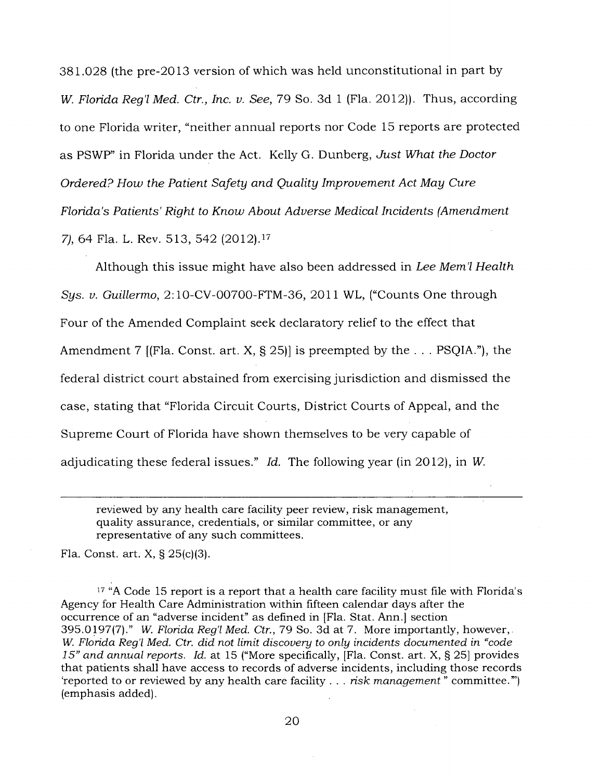381.028 (the pre-2013 version of which was held unconstitutional in part by *W. Florida Reg'l Med. Ctr., Inc. v. See,* 79 So. 3d 1 (Fla. 2012)). Thus, according to one Florida writer, "neither annual reports nor Code 15 reports are protected as PSWP" in Florida under the Act. Kelly G. Dunberg, *Just What the Doctor Ordered? How the Patient Safety and Quality Improvement Act May Cure Florida's Patients' Right to Know About Adverse Medical Incidents (Amendment*  7), 64 Fla. L. Rev. 513, 542 (2012). <sup>17</sup>

Although this issue might have also been addressed in *Lee Mem'l Health Sys. v. Guillermo,* 2:10-CV-00700-FTM-36, 2011 WL, ("Counts One through Four of the Amended Complaint seek declaratory relief to the effect that Amendment 7 [(Fla. Const. art. X,  $\S$  25]] is preempted by the ... PSQIA."), the federal district court abstained from exercising jurisdiction and dismissed the case, stating that "Florida Circuit Courts, District Courts of Appeal, and the Supreme Court of Florida have shown themselves to be very capable of adjudicating these federal issues." *Id.* The following year (in 2012), in W.

reviewed by any health care facility peer review, risk management, quality assurance, credentials, or similar committee, or any representative of any such committees.

Fla. Const. art. X, § 25(c)(3).

<sup>17</sup> "A Code 15 report is a report that a health care facility must file with Florida's Agency for Health Care Administration within fifteen calendar days after the occurrence of an "adverse incident" as defined in [Fla. Stat. Ann.] section 395.0197(7)." W. *Florida Reg'l Med. Ctr.,* 79 So. 3d at 7. More importantly, however,. W. *Florida Reg'l Med. Ctr. did not limit discovery to only incidents documented in "code 15" and annual reports. Id.* at 15 ("More specifically, [Fla. Const. art. X, § 25] provides that patients shall have access to records of adverse incidents, including those records `reported to or reviewed by any health care facility . . . *risk management"* committee."') (emphasis added).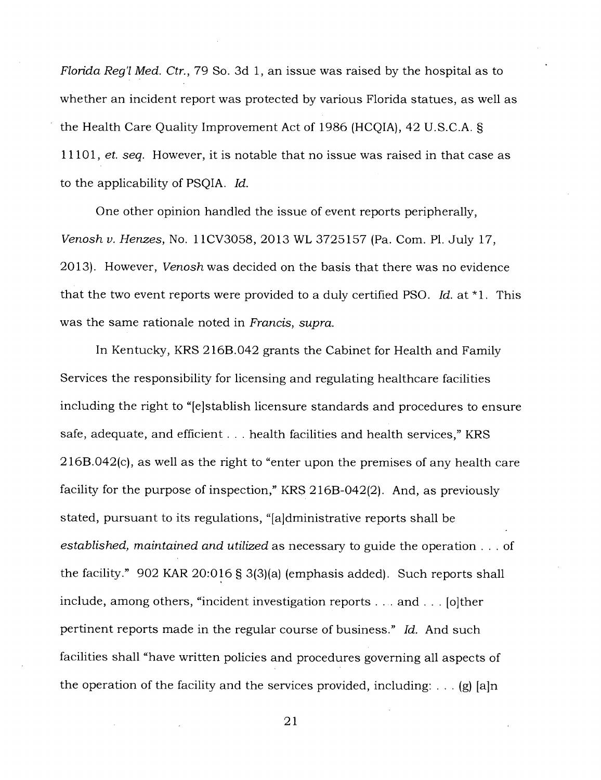*Florida Reg'l Med. Ctr.,* 79 So. 3d 1, an issue was raised by the hospital as to whether an incident report was protected by various Florida statues, as well as the Health Care Quality Improvement Act of 1986 (HCQIA), 42 U.S.C.A. § 11101, *et. seq.* However, it is notable that no issue was raised in that case as to the applicability of PSQIA. *Id.* 

One other opinion handled the issue of event reports peripherally, *Venosh v. Henzes, No.* 11CV3058, 2013 WL 3725157 (Pa. Com. Pl. July 17, 2013). However, *Venosh* was decided on the basis that there was no evidence that the two event reports were provided to a duly certified PSO. *Id.* at \*1. This was the same rationale noted in *Francis, supra.* 

In Kentucky, KRS 216B.042 grants the Cabinet for Health and Family Services the responsibility for licensing and regulating healthcare facilities including the right to "[e]stablish licensure standards and procedures to ensure safe, adequate, and efficient . . . health facilities and health services," KRS 216B.042(c), as well as the right to "enter upon the premises of any health care facility for the purpose of inspection," KRS 216B-042(2). And, as previously stated, pursuant to its regulations, "[a]dministrative reports shall be *established, maintained and utilized* as necessary to guide the operation . . . of the facility." 902 KAR 20:016 § 3(3)(a) (emphasis added). Such reports shall include, among others, "incident investigation reports . . . and . . . [o]ther pertinent reports made in the regular course of business." *Id.* And such facilities shall "have written policies and procedures governing all aspects of the operation of the facility and the services provided, including: ...  $(g)$  [a]n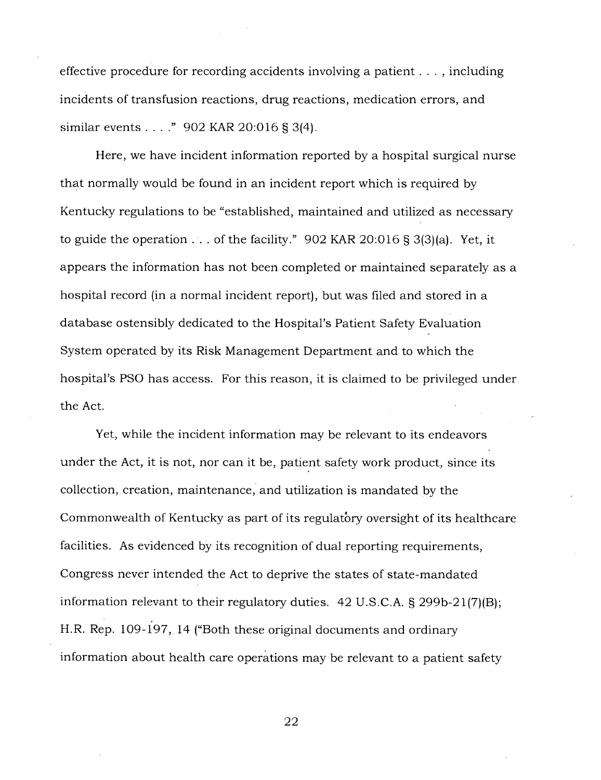effective procedure for recording accidents involving a patient . . . , including incidents of transfusion reactions, drug reactions, medication errors, and similar events . . . ." 902 KAR 20:016 § 3(4).

Here, we have incident information reported by a hospital surgical nurse that normally would be found in an incident report which is required by Kentucky regulations to be "established, maintained and utilized as necessary to guide the operation  $\ldots$  of the facility." 902 KAR 20:016 § 3(3)(a). Yet, it appears the information has not been completed or maintained separately as a hospital record (in a normal incident report), but was filed and stored in a database ostensibly dedicated to the Hospital's Patient Safety Evaluation System operated by its Risk Management Department and to which the hospital's PSO has access. For this reason, it is claimed to be privileged under the Act.

Yet, while the incident information may be relevant to its endeavors under the Act, it is not, nor can it be, patient safety work product, since its collection, creation, maintenance, and utilization is mandated by the Commonwealth of Kentucky as part of its regulatory oversight of its healthcare facilities. As evidenced by its recognition of dual reporting requirements, Congress never intended the Act to deprive the states of state-mandated information relevant to their regulatory duties. 42 U.S.C.A. § 299b-21(7)(B); H.R. Rep. 109-197, 14 ("Both these original documents and ordinary information about health care operations may be relevant to a patient safety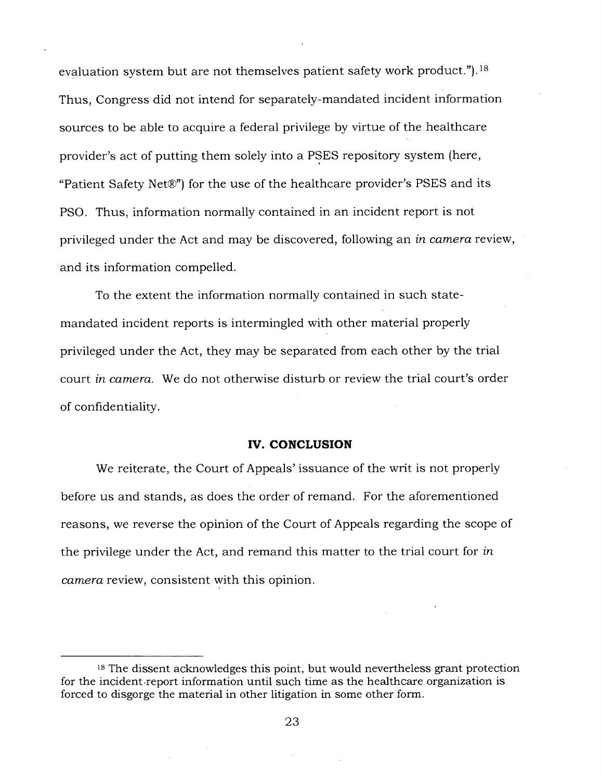evaluation system but are not themselves patient safety work product."). <sup>18</sup> Thus, Congress did not intend for separately-mandated incident information sources to be able to acquire a federal privilege by virtue of the healthcare provider's act of putting them solely into a PSES repository system (here, "Patient Safety Net®") for the use of the healthcare provider's PSES and its PSO. Thus, information normally contained in an incident report is not privileged under the Act and may be discovered, following an *in camera* review, and its information compelled.

To the extent the information normally contained in such statemandated incident reports is intermingled with other material properly privileged under the Act, they may be separated from each other by the trial court *in camera.* We do not otherwise disturb or review the trial court's order of confidentiality.

## **IV. CONCLUSION**

We reiterate, the Court of Appeals' issuance of the writ is not properly before us and stands, as does the order of remand. For the aforementioned reasons, we reverse the opinion of the Court of Appeals regarding the scope of the privilege under the Act, and remand this matter to the trial court for *in camera* review, consistent with this opinion.

<sup>18</sup>The dissent acknowledges this point, but would nevertheless grant protection for the incident-report information until such time as the healthcare organization is forced to disgorge the material in other litigation in some other form.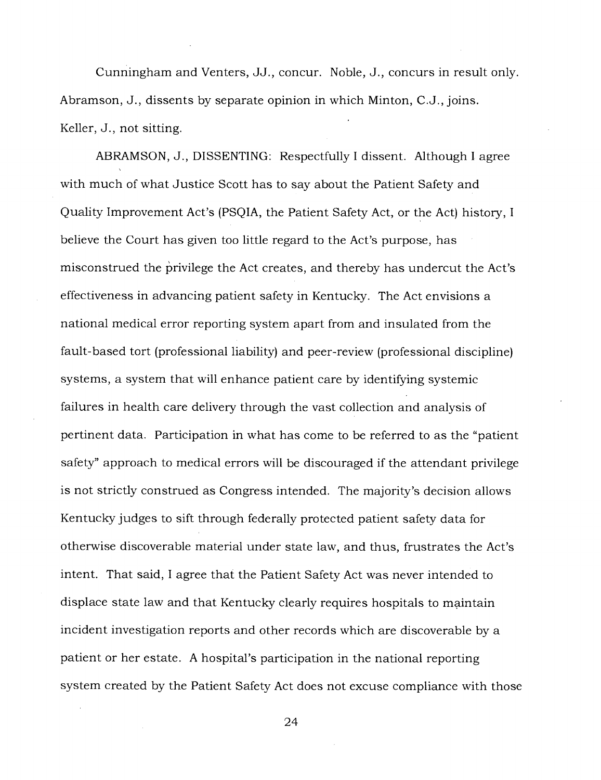Cunningham and Venters, JJ., concur. Noble, J., concurs in result only. Abramson, J., dissents by separate opinion in which Minton, C.J., joins. Keller, J., not sitting.

ABRAMSON, J., DISSENTING: Respectfully I dissent. Although I agree with much of what Justice Scott has to say about the Patient Safety and Quality Improvement Act's (PSQIA, the Patient Safety Act, or the Act) history, I believe the Court has given too little regard to the Act's purpose, has misconstrued the privilege the Act creates, and thereby has undercut the Act's effectiveness in advancing patient safety in Kentucky. The Act envisions a national medical error reporting system apart from and insulated from the fault-based tort (professional liability) and peer-review (professional discipline) systems, a system that will enhance patient care by identifying systemic failures in health care delivery through the vast collection and analysis of pertinent data. Participation in what has come to be referred to as the "patient safety" approach to medical errors will be discouraged if the attendant privilege is not strictly construed as Congress intended. The majority's decision allows Kentucky judges to sift through federally protected patient safety data for otherwise discoverable material under state law, and thus, frustrates the Act's intent. That said, I agree that the Patient Safety Act was never intended to displace state law and that Kentucky clearly requires hospitals to maintain incident investigation reports and other records which are discoverable by a patient or her estate. A hospital's participation in the national reporting system created by the Patient Safety Act does not excuse compliance with those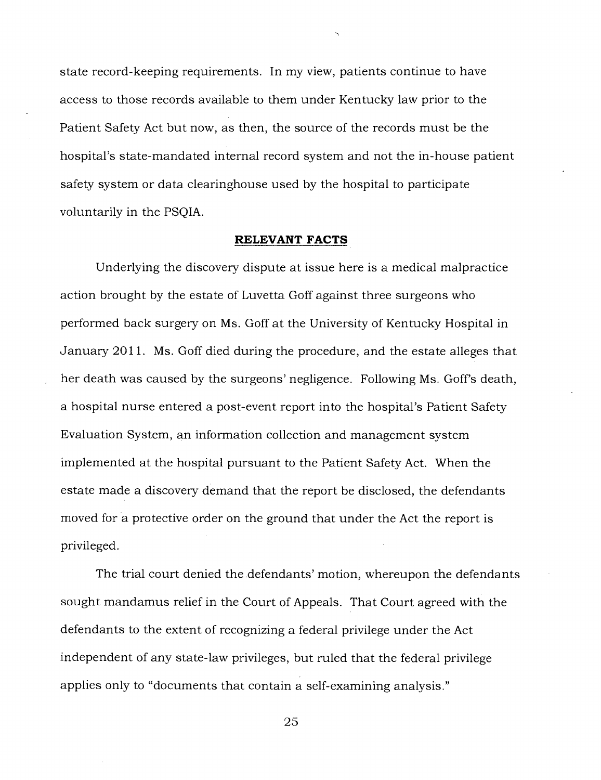state record-keeping requirements. In my view, patients continue to have access to those records available to them under Kentucky law prior to the Patient Safety Act but now, as then, the source of the records must be the hospital's state-mandated internal record system and not the in-house patient safety system or data clearinghouse used by the hospital to participate voluntarily in the PSQIA.

#### **RELEVANT FACTS**

Underlying the discovery dispute at issue here is a medical malpractice action brought by the estate of Luvetta Goff against three surgeons who performed back surgery on Ms. Goff at the University of Kentucky Hospital in January 2011. Ms. Goff died during the procedure, and the estate alleges that her death was caused by the surgeons' negligence. Following Ms. Goff's death, a hospital nurse entered a post-event report into the hospital's Patient Safety Evaluation System, an information collection and management system implemented at the hospital pursuant to the Patient Safety Act. When the estate made a discovery demand that the report be disclosed, the defendants moved for a protective order on the ground that under the Act the report is privileged.

The trial court denied the defendants' motion, whereupon the defendants sought mandamus relief in the Court of Appeals. That Court agreed with the defendants to the extent of recognizing a federal privilege under the Act independent of any state-law privileges, but ruled that the federal privilege applies only to "documents that contain a self-examining analysis."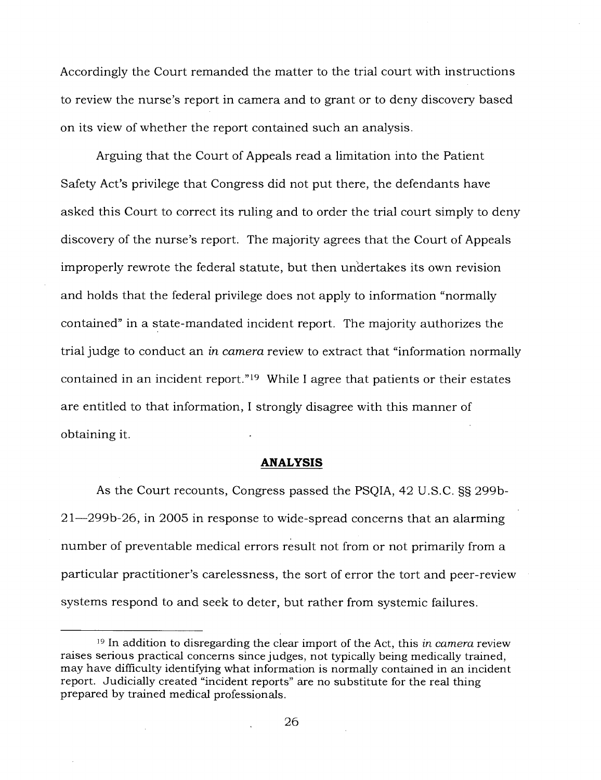Accordingly the Court remanded the matter to the trial court with instructions to review the nurse's report in camera and to grant or to deny discovery based on its view of whether the report contained such an analysis.

Arguing that the Court of Appeals read a limitation into the Patient Safety Act's privilege that Congress did not put there, the defendants have asked this Court to correct its ruling and to order the trial court simply to deny discovery of the nurse's report. The majority agrees that the Court of Appeals improperly rewrote the federal statute, but then undertakes its own revision and holds that the federal privilege does not apply to information "normally contained" in a state-mandated incident report. The majority authorizes the trial judge to conduct an *in camera* review to extract that "information normally contained in an incident report." $19$  While I agree that patients or their estates are entitled to that information, I strongly disagree with this manner of obtaining it.

#### **ANALYSIS**

As the Court recounts, Congress passed the PSQIA, 42 U.S.C. §§ 299b- $21-299b-26$ , in 2005 in response to wide-spread concerns that an alarming number of preventable medical errors result not from or not primarily from a particular practitioner's carelessness, the sort of error the tort and peer-review systems respond to and seek to deter, but rather from systemic failures.

<sup>&</sup>lt;sup>19</sup> In addition to disregarding the clear import of the Act, this in camera review raises serious practical concerns since judges, not typically being medically trained, may have difficulty identifying what information is normally contained in an incident report. Judicially created "incident reports" are no substitute for the real thing prepared by trained medical professionals.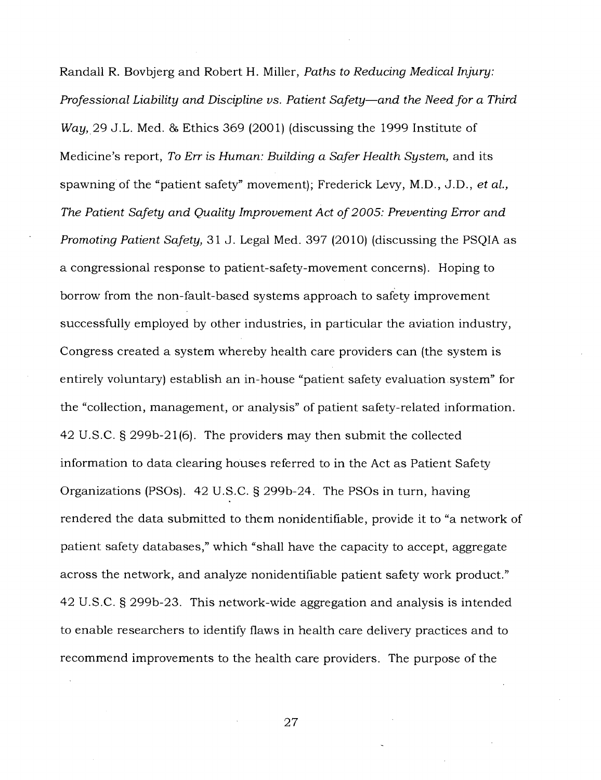Randall R. Bovbjerg and Robert H. Miller, *Paths to Reducing Medical Injury: Professional Liability and Discipline vs. Patient Safety—and the Need for a Third Way, 29 J.L. Med. & Ethics 369 (2001) (discussing the 1999 Institute of* Medicine's report, *To Err is Human: Building a Safer Health System,* and its spawning of the "patient safety" movement); Frederick Levy, M.D., J.D., *et al., The Patient Safety and Quality Improvement Act of 2005: Preventing Error and Promoting Patient Safety,* 31 J. Legal Med. 397 (2010) (discussing the PSQIA as a congressional response to patient-safety-movement concerns). Hoping to borrow from the non-fault-based systems approach to safety improvement successfully employed by other industries, in particular the aviation industry, Congress created a system whereby health care providers can (the system is entirely voluntary) establish an in-house "patient safety evaluation system" for the "collection, management, or analysis" of patient safety-related information. 42 U.S.C. § 299b-21(6). The providers may then submit the collected information to data clearing houses referred to in the Act as Patient Safety Organizations (PSOs). 42 U.S.C. § 299b-24. The PSOs in turn, having rendered the data submitted to them nonidentifiable, provide it to "a network of patient safety databases," which "shall have the capacity to accept, aggregate across the network, and analyze nonidentifiable patient safety work product." 42 U.S.C. § 299b-23. This network-wide aggregation and analysis is intended to enable researchers to identify flaws in health care delivery practices and to recommend improvements to the health care providers. The purpose of the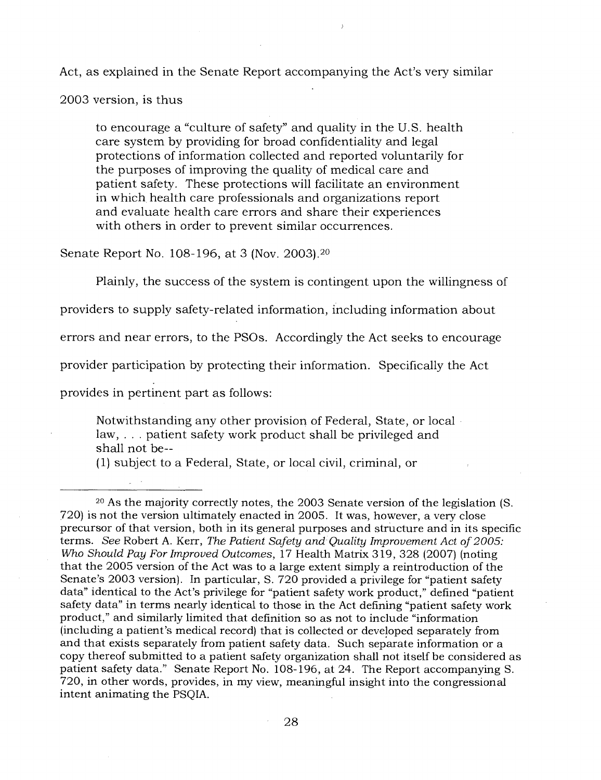Act, as explained in the Senate Report accompanying the Act's very similar

2003 version, is thus

to encourage a "culture of safety" and quality in the U.S. health care system by providing for broad confidentiality and legal protections of information collected and reported voluntarily for the purposes of improving the quality of medical care and patient safety. These protections will facilitate an environment in which health care professionals and organizations report and evaluate health care errors and share their experiences with others in order to prevent similar occurrences.

Senate Report No. 108-196, at 3 (Nov. 2003). <sup>20</sup>

Plainly, the success of the system is contingent upon the willingness of

providers to supply safety-related information, including information about

errors and near errors, to the PSOs. Accordingly the Act seeks to encourage

provider participation by protecting their information. Specifically the Act

provides in pertinent part as follows:

Notwithstanding any other provision of Federal, State, or local law, . . . patient safety work product shall be privileged and shall not be--

(1) subject to a Federal, State, or local civil, criminal, or

<sup>20</sup>As the majority correctly notes, the 2003 Senate version of the legislation (S. 720) is not the version ultimately enacted in 2005. It was, however, a very close precursor of that version, both in its general purposes and structure and in its specific terms. *See* Robert A. Kerr, *The Patient Safety and Quality Improvement Act of 2005: Who Should Pay For Improved Outcomes,* 17 Health Matrix 319, 328 (2007) (noting that the 2005 version of the Act was to a large extent simply a reintroduction of the Senate's 2003 version). In particular, S. 720 provided a privilege for "patient safety data" identical to the Act's privilege for "patient safety work product," defined "patient safety data" in terms nearly identical to those in the Act defining "patient safety work product," and similarly limited that definition so as not to include "information (including a patient's medical record) that is collected or developed separately from and that exists separately from patient safety data. Such separate information or a copy thereof submitted to a patient safety organization shall not itself be considered as patient safety data." Senate Report No. 108-196, at 24. The Report accompanying S. 720, in other words, provides, in my view, meaningful insight into the congressional intent animating the PSQIA.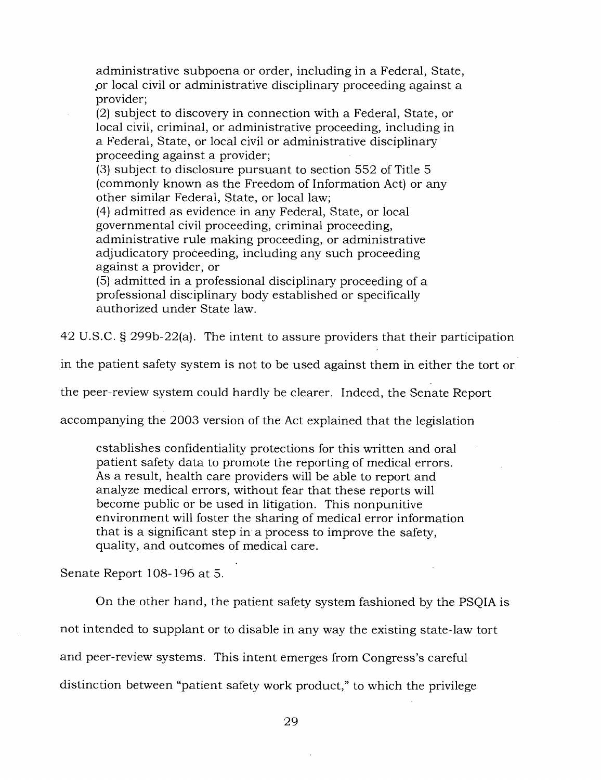administrative subpoena or order, including in a Federal, State, pr local civil or administrative disciplinary proceeding against a provider;

(2) subject to discovery in connection with a Federal, State, or local civil, criminal, or administrative proceeding, including in a Federal, State, or local civil or administrative disciplinary proceeding against a provider;

(3) subject to disclosure pursuant to section 552 of Title 5 (commonly known as the Freedom of Information Act) or any other similar Federal, State, or local law;

(4) admitted as evidence in any Federal, State, or local governmental civil proceeding, criminal proceeding, administrative rule making proceeding, or administrative adjudicatory proceeding, including any such proceeding against a provider, or

(5) admitted in a professional disciplinary proceeding of a professional disciplinary body established or specifically authorized under State law.

42 U.S.C. § 299b-22(a). The intent to assure providers that their participation

in the patient safety system is not to be used against them in either the tort or

the peer-review system could hardly be clearer. Indeed, the Senate Report

accompanying the 2003 version of the Act explained that the legislation

establishes confidentiality protections for this written and oral patient safety data to promote the reporting of medical errors. As a result, health care providers will be able to report and analyze medical errors, without fear that these reports will become public or be used in litigation. This nonpunitive environment will foster the sharing of medical error information that is a significant step in a process to improve the safety, quality, and outcomes of medical care.

Senate Report 108-196 at 5.

On the other hand, the patient safety system fashioned by the PSQIA is not intended to supplant or to disable in any way the existing state-law tort and peer-review systems. This intent emerges from Congress's careful distinction between "patient safety work product," to which the privilege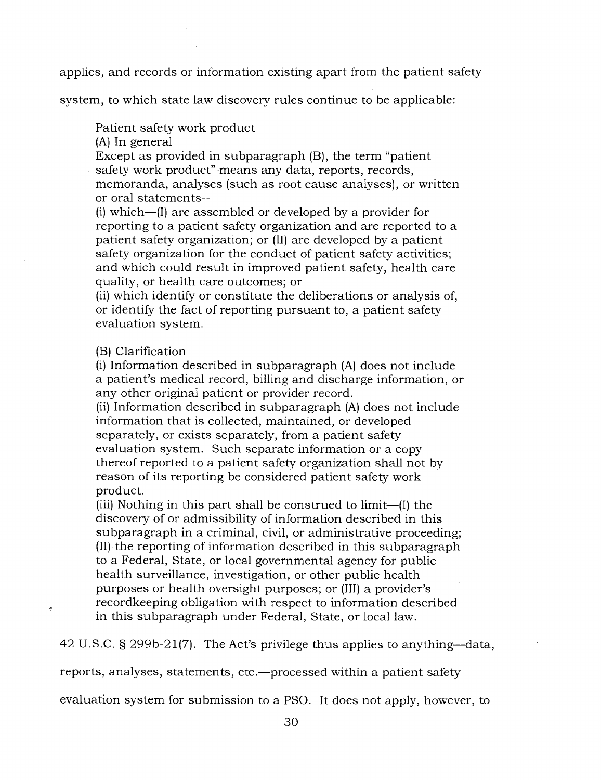applies, and records or information existing apart from the patient safety

system, to which state law discovery rules continue to be applicable:

Patient safety work product

(A) In general

Except as provided in subparagraph (B), the term "patient safety work product" means any data, reports, records, memoranda, analyses (such as root cause analyses), or written or oral statements--

(i) which—(I) are assembled or developed by a provider for reporting to a patient safety organization and are reported to a patient safety organization; or (II) are developed by a patient safety organization for the conduct of patient safety activities; and which could result in improved patient safety, health care quality, or health care outcomes; or

(ii) which identify or constitute the deliberations or analysis of, or identify the fact of reporting pursuant to, a patient safety evaluation system.

#### (B) Clarification

(i) Information described in subparagraph (A) does not include a patient's medical record, billing and discharge information, or any other original patient or provider record.

(ii) Information described in subparagraph (A) does not include information that is collected, maintained, or developed separately, or exists separately, from a patient safety evaluation system. Such separate information or a copy thereof reported to a patient safety organization shall not by reason of its reporting be considered patient safety work product.

(iii) Nothing in this part shall be construed to limit—(I) the discovery of or admissibility of information described in this subparagraph in a criminal, civil, or administrative proceeding; (II) the reporting of information described in this subparagraph to a Federal, State, or local governmental agency for public health surveillance, investigation, or other public health purposes or health oversight purposes; or (III) a provider's recordkeeping obligation with respect to information described in this subparagraph under Federal, State, or local law.

#### 42 U.S.C. § 299b-21(7). The Act's privilege thus applies to anything—data,

reports, analyses, statements, etc.—processed within a patient safety

evaluation system for submission to a PSO. It does not apply, however, to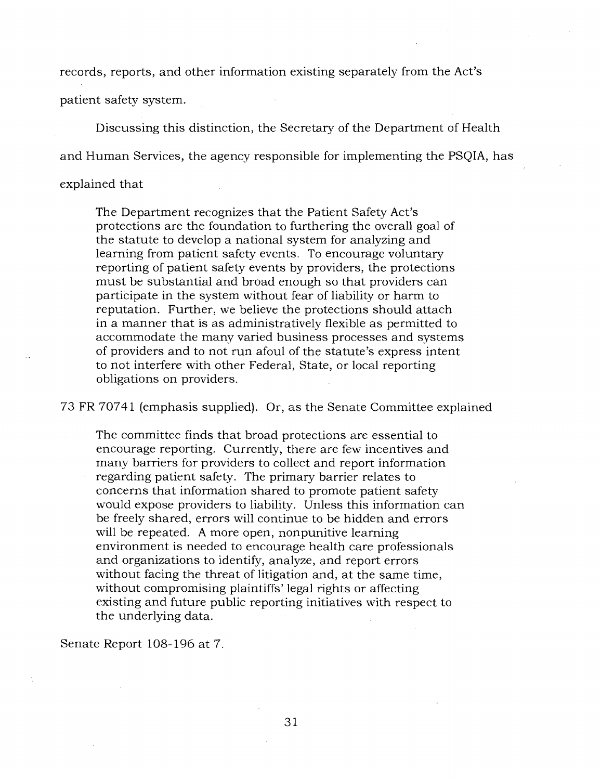records, reports, and other information existing separately from the Act's

patient safety system.

Discussing this distinction, the Secretary of the Department of Health and Human Services, the agency responsible for implementing the PSQIA, has

## explained that

The Department recognizes that the Patient Safety Act's protections are the foundation to furthering the overall goal of the statute to develop a national system for analyzing and learning from patient safety events. To encourage voluntary reporting of patient safety events by providers, the protections must be substantial and broad enough so that providers can participate in the system without fear of liability or harm to reputation. Further, we believe the protections should attach in a manner that is as administratively flexible as permitted to accommodate the many varied business processes and systems of providers and to not run afoul of the statute's express intent to not interfere with other Federal, State, or local reporting obligations on providers.

73 FR 70741 (emphasis supplied). Or, as the Senate Committee explained

The committee finds that broad protections are essential to encourage reporting. Currently, there are few incentives and many barriers for providers to collect and report information regarding patient safety. The primary barrier relates to concerns that information shared to promote patient safety would expose providers to liability. Unless this information can be freely shared, errors will continue to be hidden and errors will be repeated. A more open, nonpunitive learning environment is needed to encourage health care professionals and organizations to identify, analyze, and report errors without facing the threat of litigation and, at the same time, without compromising plaintiffs' legal rights or affecting existing and future public reporting initiatives with respect to the underlying data.

Senate Report 108-196 at 7.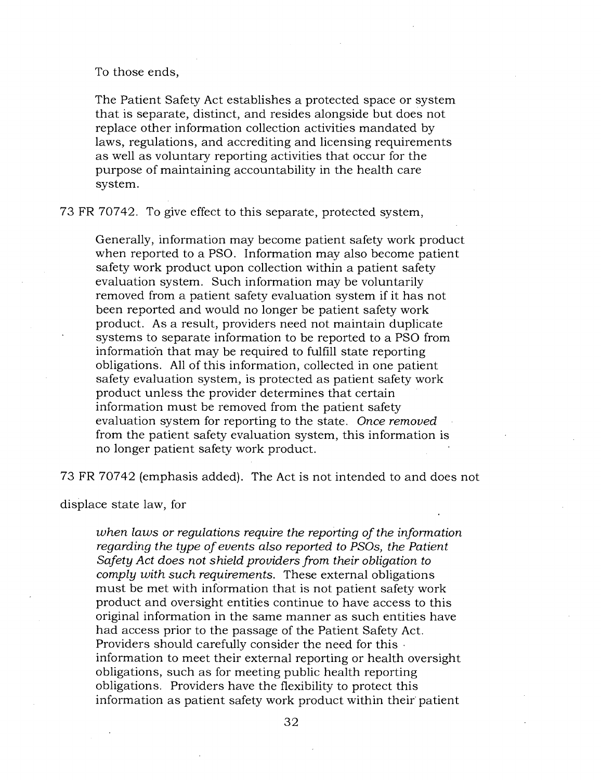To those ends,

The Patient Safety Act establishes a protected space or system that is separate, distinct, and resides alongside but does not replace other information collection activities mandated by laws, regulations, and accrediting and licensing requirements as well as voluntary reporting activities that occur for the purpose of maintaining accountability in the health care system.

73 FR 70742. To give effect to this separate, protected system,

Generally, information may become patient safety work product when reported to a PSO. Information may also become patient safety work product upon collection within a patient safety evaluation system. Such information may be voluntarily removed from a patient safety evaluation system if it has not been reported and would no longer be patient safety work product. As a result, providers need not maintain duplicate systems to separate information to be reported to a PSO from informatioh that may be required to fulfill state reporting obligations. All of this information, collected in one patient safety evaluation system, is protected as patient safety work product unless the provider determines that certain information must be removed from the patient safety evaluation system for reporting to the state. *Once removed*  from the patient safety evaluation system, this information is no longer patient safety work product.

73 FR 70742 (emphasis added). The Act is not intended to and does not

displace state law, for

*when laws or regulations require the reporting of the information regarding the type of events also reported to PSOs, the Patient Safety Act does not shield providers from their obligation to comply with such requirements.* These external obligations must be met with information that is not patient safety work product and oversight entities continue to have access to this original information in the same manner as such entities have had access prior to the passage of the Patient Safety Act. Providers should carefully consider the need for this  $\cdot$ information to meet their external reporting or health oversight obligations, such as for meeting public health reporting obligations. Providers have the flexibility to protect this information as patient safety work product within their patient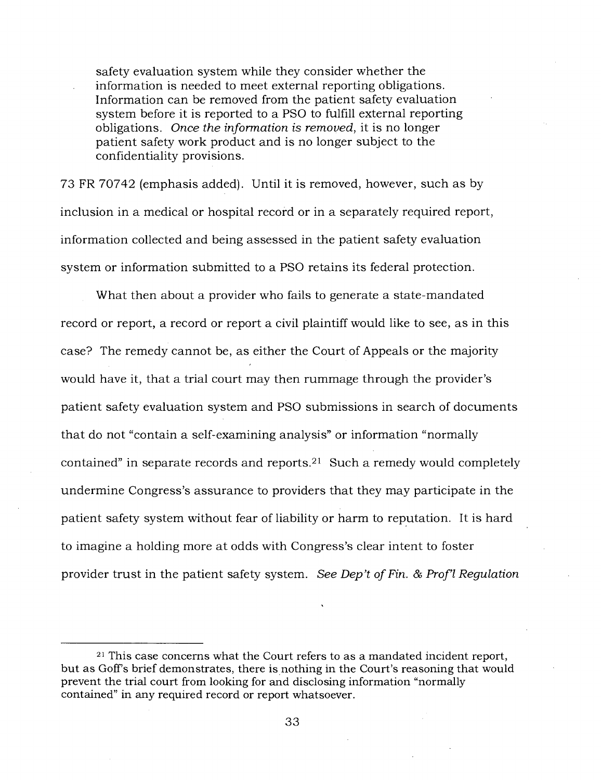safety evaluation system while they consider whether the information is needed to meet external reporting obligations. Information can be removed from the patient safety evaluation system before it is reported to a PSO to fulfill external reporting obligations. *Once the information is removed,* it is no longer patient safety work product and is no longer subject to the confidentiality provisions.

73 FR 70742 (emphasis added). Until it is removed, however, such as by inclusion in a medical or hospital record or in a separately required report, information collected and being assessed in the patient safety evaluation system or information submitted to a PSO retains its federal protection.

What then about a provider who fails to generate a state-mandated record or report, a record or report a civil plaintiff would like to see, as in this case? The remedy cannot be, as either the Court of Appeals or the majority would have it, that a trial court may then rummage through the provider's patient safety evaluation system and PSO submissions in search of documents that do not "contain a self-examining analysis" or information "normally contained" in separate records and reports.<sup>21</sup> Such a remedy would completely undermine Congress's assurance to providers that they may participate in the patient safety system without fear of liability or harm to reputation. It is hard to imagine a holding more at odds with Congress's clear intent to foster provider trust in the patient safety system. *See Dep't of Fin. & Prof'l Regulation* 

<sup>&</sup>lt;sup>21</sup> This case concerns what the Court refers to as a mandated incident report, but as Goff's brief demonstrates, there is nothing in the Court's reasoning that would prevent the trial court from looking for and disclosing information "normally contained" in any required record or report whatsoever.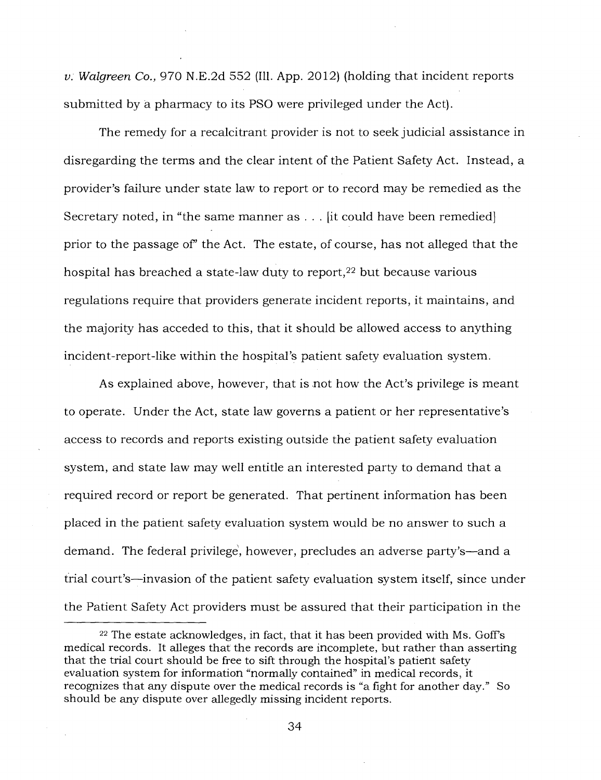v. Walgreen *Co.,* 970 N.E.2d 552 (Ill. App. 2012) (holding that incident reports submitted by a pharmacy to its PSO were privileged under the Act).

The remedy for a recalcitrant provider is not to seek judicial assistance in disregarding the terms and the clear intent of the Patient Safety Act. Instead, a provider's failure under state law to report or to record may be remedied as the Secretary noted, in "the same manner as . . . [it could have been remedied] prior to the passage of" the Act. The estate, of course, has not alleged that the hospital has breached a state-law duty to report, $22$  but because various regulations require that providers generate incident reports, it maintains, and the majority has acceded to this, that it should be allowed access to anything incident-report-like within the hospital's patient safety evaluation system.

As explained above, however, that is not how the Act's privilege is meant to operate. Under the Act, state law governs a patient or her representative's access to records and reports existing outside the patient safety evaluation system, and state law may well entitle an interested party to demand that a required record or report be generated. That pertinent information has been placed in the patient safety evaluation system would be no answer to such a demand. The federal privilege, however, precludes an adverse party's—and a trial court's—invasion of the patient safety evaluation system itself, since under the Patient Safety Act providers must be assured that their participation in the

<sup>&</sup>lt;sup>22</sup> The estate acknowledges, in fact, that it has been provided with Ms. Goff's medical records. It alleges that the records are incomplete, but rather than asserting that the trial court should be free to sift through the hospital's patient safety evaluation system for information "normally contained" in medical records, it recognizes that any dispute over the medical records is "a fight for another day." So should be any dispute over allegedly missing incident reports.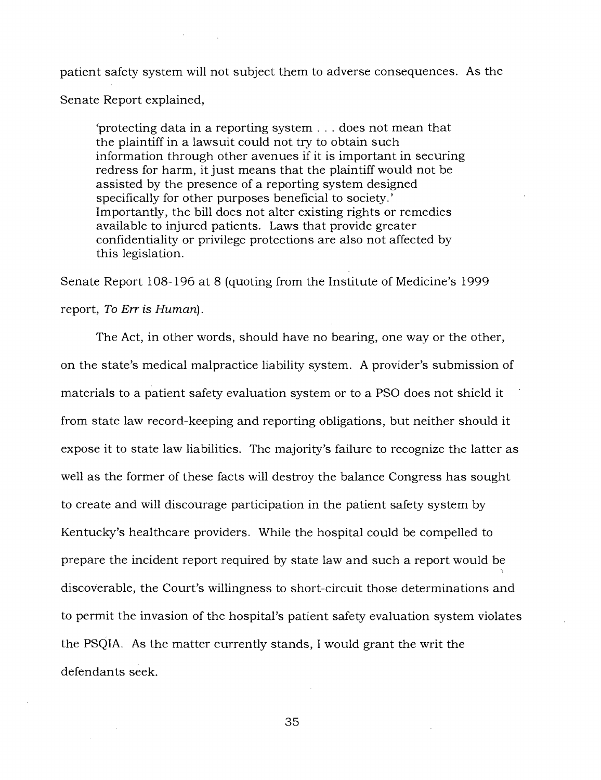patient safety system will not subject them to adverse consequences. As the

Senate Report explained,

`protecting data in a reporting system . . . does not mean that the plaintiff in a lawsuit could not try to obtain such information through other avenues if it is important in securing redress for harm, it just means that the plaintiff would not be assisted by the presence of a reporting system designed specifically for other purposes beneficial to society.' Importantly, the bill does not alter existing rights or remedies available to injured patients. Laws that provide greater confidentiality or privilege protections are also not affected by this legislation.

Senate Report 108-196 at 8 (quoting from the Institute of Medicine's 1999 report, *To Err is Human).* 

The Act, in other words, should have no bearing, one way or the other, on the state's medical malpractice liability system. A provider's submission of materials to a patient safety evaluation system or to a PSO does not shield it from state law record-keeping and reporting obligations, but neither should it expose it to state law liabilities. The majority's failure to recognize the latter as well as the former of these facts will destroy the balance Congress has sought to create and will discourage participation in the patient safety system by Kentucky's healthcare providers. While the hospital could be compelled to prepare the incident report required by state law and such a report would be discoverable, the Court's willingness to short-circuit those determinations and to permit the invasion of the hospital's patient safety evaluation system violates the PSQIA. As the matter currently stands, I would grant the writ the defendants seek.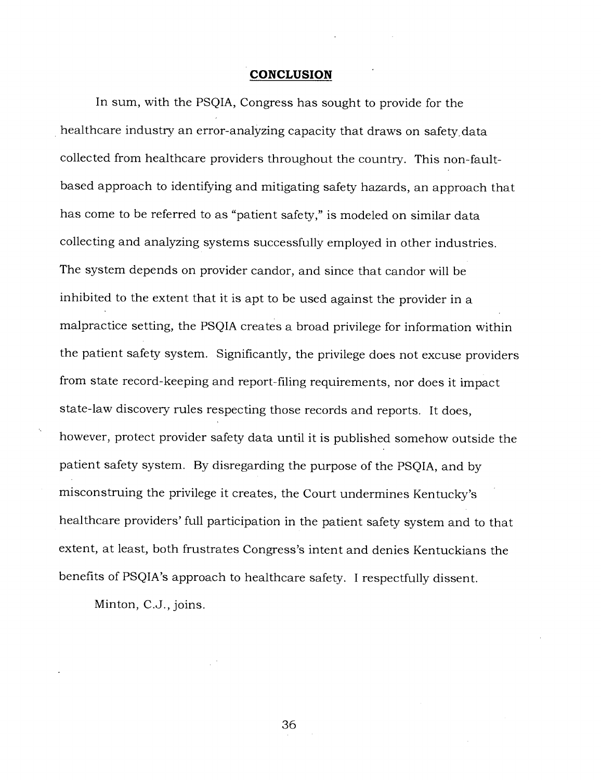#### **CONCLUSION**

In sum, with the PSQIA, Congress has sought to provide for the healthcare industry an error-analyzing capacity that draws on safety data collected from healthcare providers throughout the country. This non-faultbased approach to identifying and mitigating safety hazards, an approach that has come to be referred to as "patient safety," is modeled on similar data collecting and analyzing systems successfully employed in other industries. The system depends on provider candor, and since that candor will be inhibited to the extent that it is apt to be used against the provider in a malpractice setting, the PSQIA creates a broad privilege for information within the patient safety system. Significantly, the privilege does not excuse providers from state record-keeping and report-filing requirements, nor does it impact state-law discovery rules respecting those records and reports. It does, however, protect provider safety data until it is published somehow outside the patient safety system. By disregarding the purpose of the PSQIA, and by misconstruing the privilege it creates, the Court undermines Kentucky's healthcare providers' full participation in the patient safety system and to that extent, at least, both frustrates Congress's intent and denies Kentuckians the benefits of PSQIA's approach to healthcare safety. I respectfully dissent.

Minton, C.J., joins.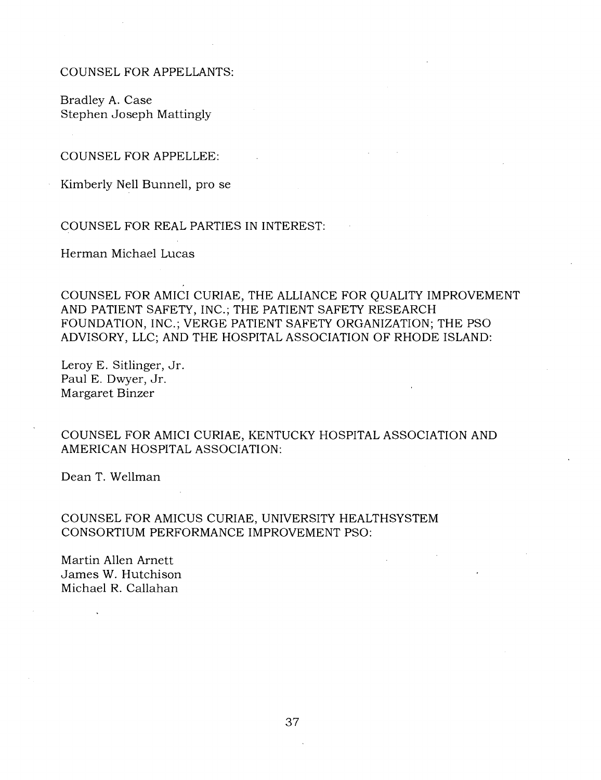## COUNSEL FOR APPELLANTS:

Bradley A. Case Stephen Joseph Mattingly

COUNSEL FOR APPELLEE:

Kimberly Nell Bunnell, pro se

#### COUNSEL FOR REAL PARTIES IN INTEREST:

Herman Michael Lucas

COUNSEL FOR AMICI CURIAE, THE ALLIANCE FOR QUALITY IMPROVEMENT AND PATIENT SAFETY, INC.; THE PATIENT SAFETY RESEARCH FOUNDATION, INC.; VERGE PATIENT SAFETY ORGANIZATION; THE PSO ADVISORY, LLC; AND THE HOSPITAL ASSOCIATION OF RHODE ISLAND:

Leroy E. Sitlinger, Jr. Paul E. Dwyer, Jr. Margaret Binzer

## COUNSEL FOR AMICI CURIAE, KENTUCKY HOSPITAL ASSOCIATION AND AMERICAN HOSPITAL ASSOCIATION:

Dean T. Wellman

## COUNSEL FOR AMICUS CURIAE, UNIVERSITY HEALTHSYSTEM CONSORTIUM PERFORMANCE IMPROVEMENT PSO:

Martin Allen Arnett James W. Hutchison Michael R. Callahan